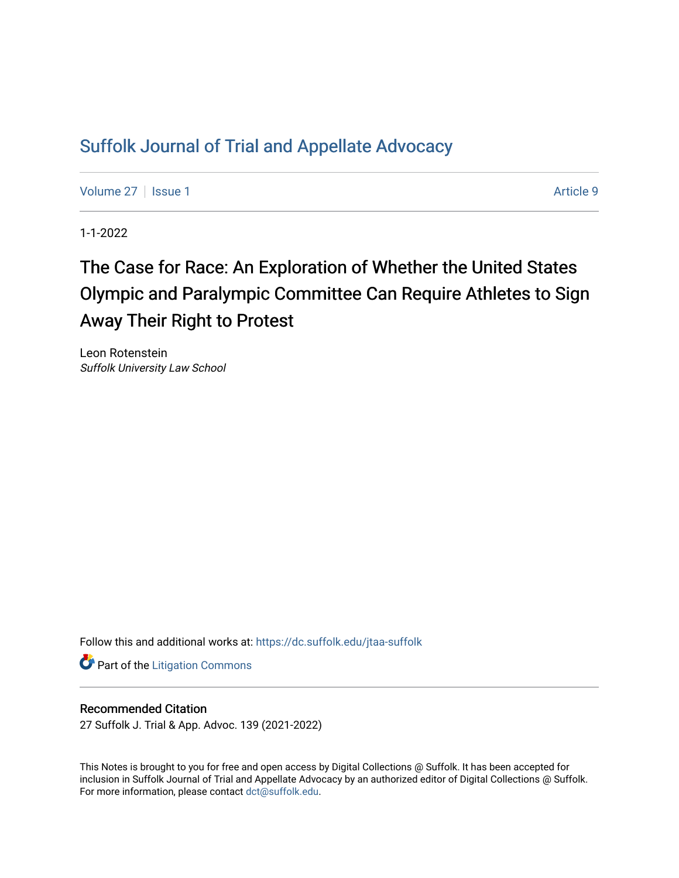# [Suffolk Journal of Trial and Appellate Advocacy](https://dc.suffolk.edu/jtaa-suffolk)

[Volume 27](https://dc.suffolk.edu/jtaa-suffolk/vol27) | [Issue 1](https://dc.suffolk.edu/jtaa-suffolk/vol27/iss1) Article 9

1-1-2022

# The Case for Race: An Exploration of Whether the United States Olympic and Paralympic Committee Can Require Athletes to Sign Away Their Right to Protest

Leon Rotenstein Suffolk University Law School

Follow this and additional works at: [https://dc.suffolk.edu/jtaa-suffolk](https://dc.suffolk.edu/jtaa-suffolk?utm_source=dc.suffolk.edu%2Fjtaa-suffolk%2Fvol27%2Fiss1%2F9&utm_medium=PDF&utm_campaign=PDFCoverPages) 

**Part of the [Litigation Commons](https://network.bepress.com/hgg/discipline/910?utm_source=dc.suffolk.edu%2Fjtaa-suffolk%2Fvol27%2Fiss1%2F9&utm_medium=PDF&utm_campaign=PDFCoverPages)** 

# Recommended Citation

27 Suffolk J. Trial & App. Advoc. 139 (2021-2022)

This Notes is brought to you for free and open access by Digital Collections @ Suffolk. It has been accepted for inclusion in Suffolk Journal of Trial and Appellate Advocacy by an authorized editor of Digital Collections @ Suffolk. For more information, please contact [dct@suffolk.edu](mailto:dct@suffolk.edu).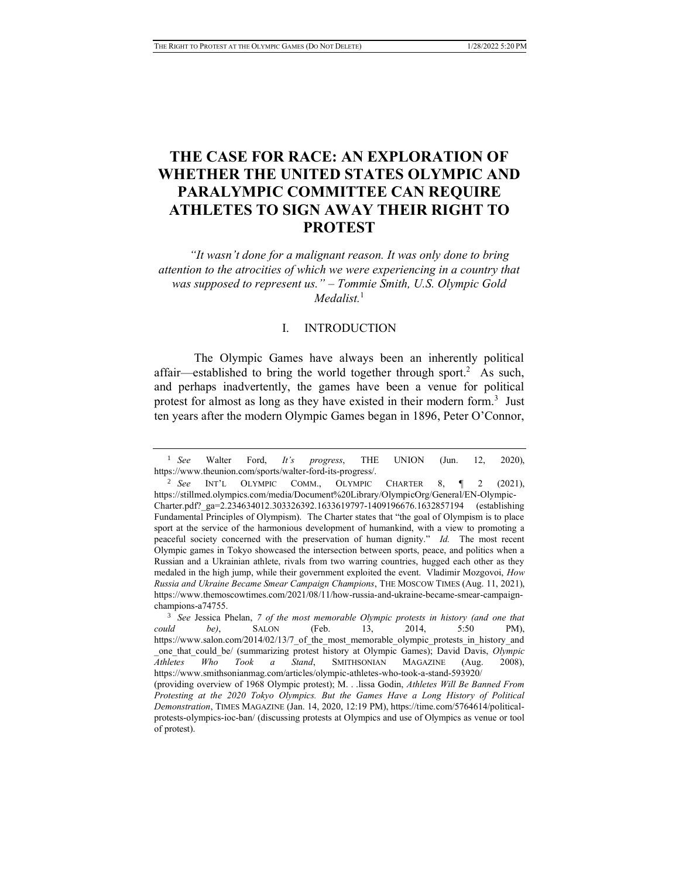# **THE CASE FOR RACE: AN EXPLORATION OF WHETHER THE UNITED STATES OLYMPIC AND PARALYMPIC COMMITTEE CAN REQUIRE ATHLETES TO SIGN AWAY THEIR RIGHT TO PROTEST**

*"It wasn't done for a malignant reason. It was only done to bring attention to the atrocities of which we were experiencing in a country that was supposed to represent us." – Tommie Smith, U.S. Olympic Gold Medalist.*<sup>1</sup>

#### I. INTRODUCTION

The Olympic Games have always been an inherently political affair—established to bring the world together through sport.<sup>2</sup> As such, and perhaps inadvertently, the games have been a venue for political protest for almost as long as they have existed in their modern form.<sup>3</sup> Just ten years after the modern Olympic Games began in 1896, Peter O'Connor,

<sup>1</sup> *See* Walter Ford, *It's progress*, THE UNION (Jun. 12, 2020), https://www.theunion.com/sports/walter-ford-its-progress/.

<sup>2</sup> *See* INT'L OLYMPIC COMM., OLYMPIC CHARTER 8, ¶ 2 (2021), https://stillmed.olympics.com/media/Document%20Library/OlympicOrg/General/EN-Olympic-Charter.pdf?\_ga=2.234634012.303326392.1633619797-1409196676.1632857194 (establishing Fundamental Principles of Olympism). The Charter states that "the goal of Olympism is to place sport at the service of the harmonious development of humankind, with a view to promoting a peaceful society concerned with the preservation of human dignity." *Id.* The most recent Olympic games in Tokyo showcased the intersection between sports, peace, and politics when a Russian and a Ukrainian athlete, rivals from two warring countries, hugged each other as they medaled in the high jump, while their government exploited the event. Vladimir Mozgovoi, *How Russia and Ukraine Became Smear Campaign Champions*, THE MOSCOW TIMES (Aug. 11, 2021), https://www.themoscowtimes.com/2021/08/11/how-russia-and-ukraine-became-smear-campaignchampions-a74755.

<sup>3</sup> *See* Jessica Phelan, *7 of the most memorable Olympic protests in history (and one that could be)*, SALON (Feb. 13, 2014, 5:50 PM), https://www.salon.com/2014/02/13/7\_of\_the\_most\_memorable\_olympic\_protests\_in\_history\_and \_one\_that\_could\_be/ (summarizing protest history at Olympic Games); David Davis, *Olympic Athletes Who Took a Stand*, SMITHSONIAN MAGAZINE (Aug. 2008), https://www.smithsonianmag.com/articles/olympic-athletes-who-took-a-stand-593920/ (providing overview of 1968 Olympic protest); M. . .lissa Godin, *Athletes Will Be Banned From Protesting at the 2020 Tokyo Olympics. But the Games Have a Long History of Political Demonstration*, TIMES MAGAZINE (Jan. 14, 2020, 12:19 PM), https://time.com/5764614/politicalprotests-olympics-ioc-ban/ (discussing protests at Olympics and use of Olympics as venue or tool of protest).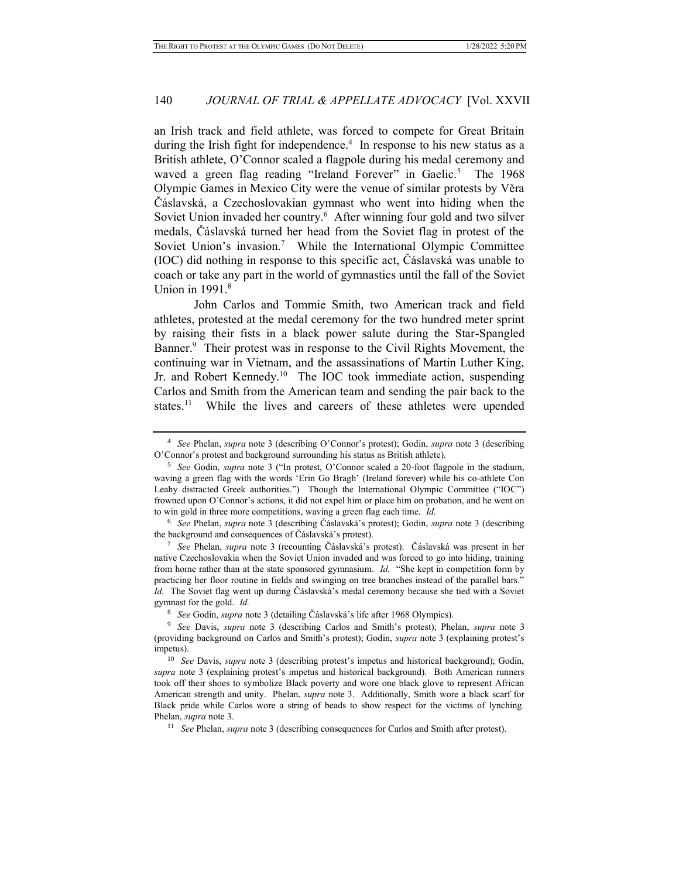an Irish track and field athlete, was forced to compete for Great Britain during the Irish fight for independence.<sup>4</sup> In response to his new status as a British athlete, O'Connor scaled a flagpole during his medal ceremony and waved a green flag reading "Ireland Forever" in Gaelic.<sup>5</sup> The 1968 Olympic Games in Mexico City were the venue of similar protests by Věra Čáslavská, a Czechoslovakian gymnast who went into hiding when the Soviet Union invaded her country.<sup>6</sup> After winning four gold and two silver medals, Čáslavská turned her head from the Soviet flag in protest of the Soviet Union's invasion.<sup>7</sup> While the International Olympic Committee (IOC) did nothing in response to this specific act, Čáslavská was unable to coach or take any part in the world of gymnastics until the fall of the Soviet Union in 1991.<sup>8</sup>

John Carlos and Tommie Smith, two American track and field athletes, protested at the medal ceremony for the two hundred meter sprint by raising their fists in a black power salute during the Star-Spangled Banner.<sup>9</sup> Their protest was in response to the Civil Rights Movement, the continuing war in Vietnam, and the assassinations of Martin Luther King, Jr. and Robert Kennedy.<sup>10</sup> The IOC took immediate action, suspending Carlos and Smith from the American team and sending the pair back to the states.<sup>11</sup> While the lives and careers of these athletes were upended

<sup>4</sup> *See* Phelan, *supra* note 3 (describing O'Connor's protest); Godin, *supra* note 3 (describing O'Connor's protest and background surrounding his status as British athlete).

<sup>5</sup> *See* Godin, *supra* note 3 ("In protest, O'Connor scaled a 20-foot flagpole in the stadium, waving a green flag with the words 'Erin Go Bragh' (Ireland forever) while his co-athlete Con Leahy distracted Greek authorities.") Though the International Olympic Committee ("IOC") frowned upon O'Connor's actions, it did not expel him or place him on probation, and he went on to win gold in three more competitions, waving a green flag each time. *Id.*

<sup>6</sup> *See* Phelan, *supra* note 3 (describing Čáslavská's protest); Godin, *supra* note 3 (describing the background and consequences of Čáslavská's protest).

<sup>7</sup> *See* Phelan, *supra* note 3 (recounting Čáslavská's protest). Čáslavská was present in her native Czechoslovakia when the Soviet Union invaded and was forced to go into hiding, training from home rather than at the state sponsored gymnasium. *Id.* "She kept in competition form by practicing her floor routine in fields and swinging on tree branches instead of the parallel bars." *Id.* The Soviet flag went up during Čáslavská's medal ceremony because she tied with a Soviet gymnast for the gold. *Id.*

<sup>8</sup> *See* Godin, *supra* note 3 (detailing Čáslavská's life after 1968 Olympics).

<sup>9</sup> *See* Davis, *supra* note 3 (describing Carlos and Smith's protest); Phelan, *supra* note 3 (providing background on Carlos and Smith's protest); Godin, *supra* note 3 (explaining protest's impetus).

<sup>10</sup> *See* Davis, *supra* note 3 (describing protest's impetus and historical background); Godin, *supra* note 3 (explaining protest's impetus and historical background). Both American runners took off their shoes to symbolize Black poverty and wore one black glove to represent African American strength and unity. Phelan, *supra* note 3. Additionally, Smith wore a black scarf for Black pride while Carlos wore a string of beads to show respect for the victims of lynching. Phelan, *supra* note 3.

<sup>11</sup> *See* Phelan, *supra* note 3 (describing consequences for Carlos and Smith after protest).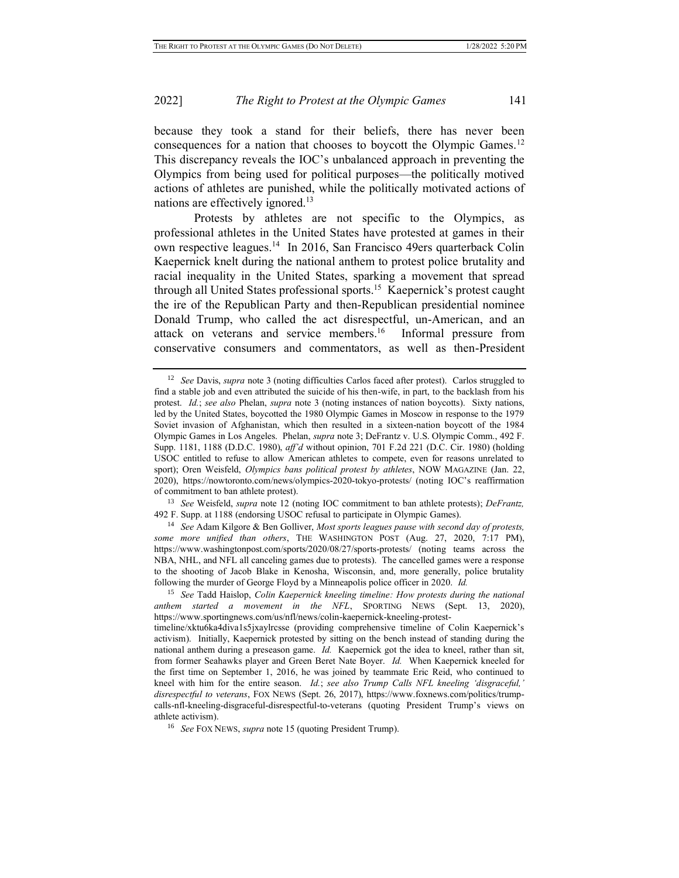because they took a stand for their beliefs, there has never been consequences for a nation that chooses to boycott the Olympic Games.<sup>12</sup> This discrepancy reveals the IOC's unbalanced approach in preventing the Olympics from being used for political purposes—the politically motived actions of athletes are punished, while the politically motivated actions of nations are effectively ignored.<sup>13</sup>

Protests by athletes are not specific to the Olympics, as professional athletes in the United States have protested at games in their own respective leagues.<sup>14</sup> In 2016, San Francisco 49ers quarterback Colin Kaepernick knelt during the national anthem to protest police brutality and racial inequality in the United States, sparking a movement that spread through all United States professional sports.<sup>15</sup> Kaepernick's protest caught the ire of the Republican Party and then-Republican presidential nominee Donald Trump, who called the act disrespectful, un-American, and an attack on veterans and service members.<sup>16</sup> Informal pressure from conservative consumers and commentators, as well as then-President

<sup>13</sup> *See* Weisfeld, *supra* note 12 (noting IOC commitment to ban athlete protests); *DeFrantz,* 492 F. Supp. at 1188 (endorsing USOC refusal to participate in Olympic Games).

<sup>14</sup> *See* Adam Kilgore & Ben Golliver, *Most sports leagues pause with second day of protests, some more unified than others*, THE WASHINGTON POST (Aug. 27, 2020, 7:17 PM), https://www.washingtonpost.com/sports/2020/08/27/sports-protests/ (noting teams across the NBA, NHL, and NFL all canceling games due to protests). The cancelled games were a response to the shooting of Jacob Blake in Kenosha, Wisconsin, and, more generally, police brutality following the murder of George Floyd by a Minneapolis police officer in 2020. *Id.*

<sup>12</sup> *See* Davis, *supra* note 3 (noting difficulties Carlos faced after protest). Carlos struggled to find a stable job and even attributed the suicide of his then-wife, in part, to the backlash from his protest. *Id.*; *see also* Phelan, *supra* note 3 (noting instances of nation boycotts).Sixty nations, led by the United States, boycotted the 1980 Olympic Games in Moscow in response to the 1979 Soviet invasion of Afghanistan, which then resulted in a sixteen-nation boycott of the 1984 Olympic Games in Los Angeles. Phelan, *supra* note 3; DeFrantz v. U.S. Olympic Comm., 492 F. Supp. 1181, 1188 (D.D.C. 1980), *aff'd* without opinion, 701 F.2d 221 (D.C. Cir. 1980) (holding USOC entitled to refuse to allow American athletes to compete, even for reasons unrelated to sport); Oren Weisfeld, *Olympics bans political protest by athletes*, NOW MAGAZINE (Jan. 22, 2020), https://nowtoronto.com/news/olympics-2020-tokyo-protests/ (noting IOC's reaffirmation of commitment to ban athlete protest).

<sup>15</sup> *See* Tadd Haislop, *Colin Kaepernick kneeling timeline: How protests during the national anthem started a movement in the NFL*, SPORTING NEWS (Sept. 13, 2020), https://www.sportingnews.com/us/nfl/news/colin-kaepernick-kneeling-protest-

timeline/xktu6ka4diva1s5jxaylrcsse (providing comprehensive timeline of Colin Kaepernick's activism). Initially, Kaepernick protested by sitting on the bench instead of standing during the national anthem during a preseason game. *Id.* Kaepernick got the idea to kneel, rather than sit, from former Seahawks player and Green Beret Nate Boyer. *Id.* When Kaepernick kneeled for the first time on September 1, 2016, he was joined by teammate Eric Reid, who continued to kneel with him for the entire season. *Id.*; *see also Trump Calls NFL kneeling 'disgraceful,' disrespectful to veterans*, FOX NEWS (Sept. 26, 2017), https://www.foxnews.com/politics/trumpcalls-nfl-kneeling-disgraceful-disrespectful-to-veterans (quoting President Trump's views on athlete activism).

<sup>16</sup> *See* FOX NEWS, *supra* note 15 (quoting President Trump).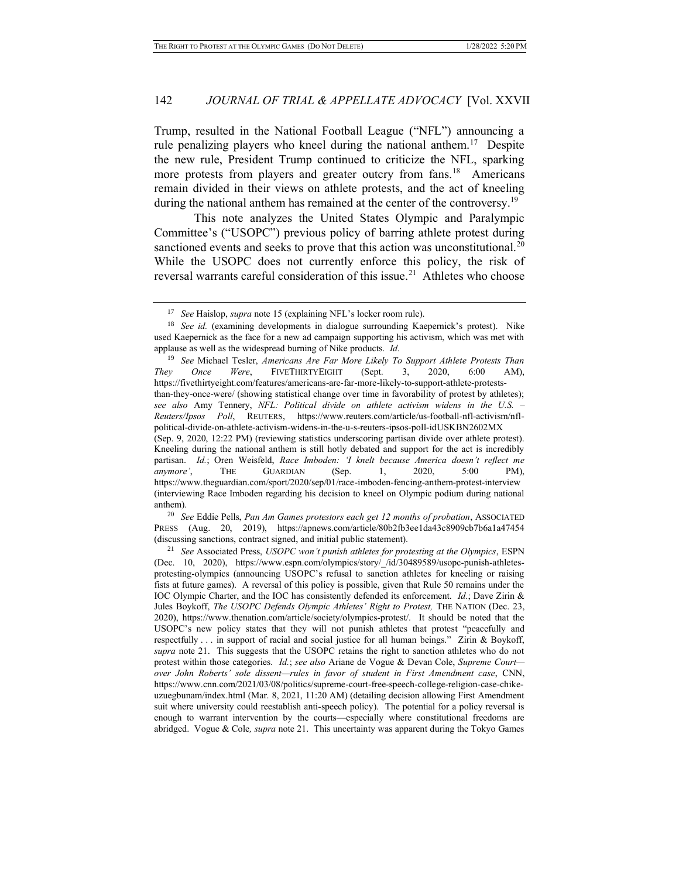Trump, resulted in the National Football League ("NFL") announcing a rule penalizing players who kneel during the national anthem.<sup>17</sup> Despite the new rule, President Trump continued to criticize the NFL, sparking more protests from players and greater outcry from fans.<sup>18</sup> Americans remain divided in their views on athlete protests, and the act of kneeling during the national anthem has remained at the center of the controversy.<sup>19</sup>

This note analyzes the United States Olympic and Paralympic Committee's ("USOPC") previous policy of barring athlete protest during sanctioned events and seeks to prove that this action was unconstitutional.<sup>20</sup> While the USOPC does not currently enforce this policy, the risk of reversal warrants careful consideration of this issue.<sup>21</sup> Athletes who choose

<sup>19</sup> *See* Michael Tesler, *Americans Are Far More Likely To Support Athlete Protests Than They Once Were*, FIVETHIRTYEIGHT (Sept. 3, 2020, 6:00 AM), https://fivethirtyeight.com/features/americans-are-far-more-likely-to-support-athlete-proteststhan-they-once-were/ (showing statistical change over time in favorability of protest by athletes); *see also* Amy Tennery, *NFL: Political divide on athlete activism widens in the U.S. – Reuters/Ipsos Poll*, REUTERS, https://www.reuters.com/article/us-football-nfl-activism/nflpolitical-divide-on-athlete-activism-widens-in-the-u-s-reuters-ipsos-poll-idUSKBN2602MX (Sep. 9, 2020, 12:22 PM) (reviewing statistics underscoring partisan divide over athlete protest). Kneeling during the national anthem is still hotly debated and support for the act is incredibly partisan. *Id.*; Oren Weisfeld, *Race Imboden: 'I knelt because America doesn't reflect me anymore'*, THE GUARDIAN (Sep. 1, 2020, 5:00 PM), https://www.theguardian.com/sport/2020/sep/01/race-imboden-fencing-anthem-protest-interview (interviewing Race Imboden regarding his decision to kneel on Olympic podium during national anthem).

<sup>20</sup> *See* Eddie Pells, *Pan Am Games protestors each get 12 months of probation*, ASSOCIATED PRESS (Aug. 20, 2019), https://apnews.com/article/80b2fb3ee1da43c8909cb7b6a1a47454 (discussing sanctions, contract signed, and initial public statement).

<sup>17</sup> *See* Haislop, *supra* note 15 (explaining NFL's locker room rule).

<sup>18</sup> *See id.* (examining developments in dialogue surrounding Kaepernick's protest). Nike used Kaepernick as the face for a new ad campaign supporting his activism, which was met with applause as well as the widespread burning of Nike products. *Id.*

<sup>21</sup> *See* Associated Press, *USOPC won't punish athletes for protesting at the Olympics*, ESPN (Dec. 10, 2020), https://www.espn.com/olympics/story/\_/id/30489589/usopc-punish-athletesprotesting-olympics (announcing USOPC's refusal to sanction athletes for kneeling or raising fists at future games). A reversal of this policy is possible, given that Rule 50 remains under the IOC Olympic Charter, and the IOC has consistently defended its enforcement. *Id.*; Dave Zirin & Jules Boykoff, *The USOPC Defends Olympic Athletes' Right to Protest,* THE NATION (Dec. 23, 2020), https://www.thenation.com/article/society/olympics-protest/. It should be noted that the USOPC's new policy states that they will not punish athletes that protest "peacefully and respectfully . . . in support of racial and social justice for all human beings." Zirin & Boykoff, *supra* note 21. This suggests that the USOPC retains the right to sanction athletes who do not protest within those categories. *Id.*; *see also* Ariane de Vogue & Devan Cole, *Supreme Court over John Roberts' sole dissent—rules in favor of student in First Amendment case*, CNN, https://www.cnn.com/2021/03/08/politics/supreme-court-free-speech-college-religion-case-chikeuzuegbunam/index.html (Mar. 8, 2021, 11:20 AM) (detailing decision allowing First Amendment suit where university could reestablish anti-speech policy). The potential for a policy reversal is enough to warrant intervention by the courts—especially where constitutional freedoms are abridged. Vogue & Cole*, supra* note 21. This uncertainty was apparent during the Tokyo Games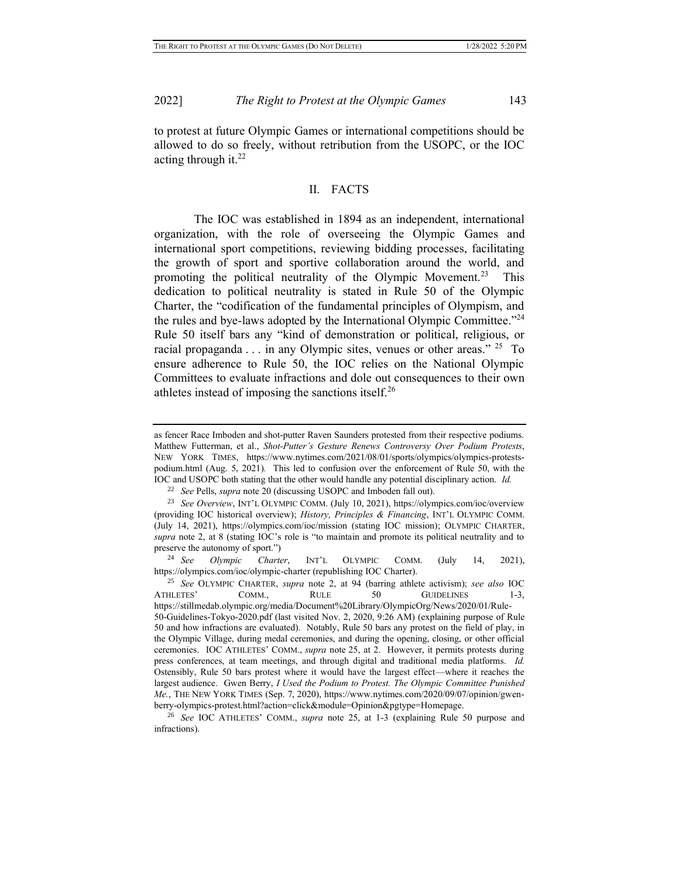to protest at future Olympic Games or international competitions should be allowed to do so freely, without retribution from the USOPC, or the IOC acting through it.<sup>22</sup>

### II. FACTS

The IOC was established in 1894 as an independent, international organization, with the role of overseeing the Olympic Games and international sport competitions, reviewing bidding processes, facilitating the growth of sport and sportive collaboration around the world, and promoting the political neutrality of the Olympic Movement.<sup>23</sup> This dedication to political neutrality is stated in Rule 50 of the Olympic Charter, the "codification of the fundamental principles of Olympism, and the rules and bye-laws adopted by the International Olympic Committee."<sup>24</sup> Rule 50 itself bars any "kind of demonstration or political, religious, or racial propaganda . . . in any Olympic sites, venues or other areas."<sup>25</sup> To ensure adherence to Rule 50, the IOC relies on the National Olympic Committees to evaluate infractions and dole out consequences to their own athletes instead of imposing the sanctions itself.<sup>26</sup>

<sup>24</sup> *See Olympic Charter*, INT'L OLYMPIC COMM. (July 14, 2021), https://olympics.com/ioc/olympic-charter (republishing IOC Charter).

as fencer Race Imboden and shot-putter Raven Saunders protested from their respective podiums. Matthew Futterman, et al., *Shot-Putter's Gesture Renews Controversy Over Podium Protests*, NEW YORK TIMES, https://www.nytimes.com/2021/08/01/sports/olympics/olympics-protestspodium.html (Aug. 5, 2021)*.* This led to confusion over the enforcement of Rule 50, with the IOC and USOPC both stating that the other would handle any potential disciplinary action. *Id.*

<sup>22</sup> *See* Pells, *supra* note 20 (discussing USOPC and Imboden fall out).

<sup>23</sup> *See Overview*, INT'L OLYMPIC COMM. (July 10, 2021), https://olympics.com/ioc/overview (providing IOC historical overview); *History, Principles & Financing*, INT'L OLYMPIC COMM. (July 14, 2021), https://olympics.com/ioc/mission (stating IOC mission); OLYMPIC CHARTER, *supra* note 2, at 8 (stating IOC's role is "to maintain and promote its political neutrality and to preserve the autonomy of sport.")

<sup>25</sup> *See* OLYMPIC CHARTER, *supra* note 2, at 94 (barring athlete activism); *see also* IOC ATHLETES' COMM., RULE 50 GUIDELINES 1-3, https://stillmedab.olympic.org/media/Document%20Library/OlympicOrg/News/2020/01/Rule-50-Guidelines-Tokyo-2020.pdf (last visited Nov. 2, 2020, 9:26 AM) (explaining purpose of Rule 50 and how infractions are evaluated). Notably, Rule 50 bars any protest on the field of play, in the Olympic Village, during medal ceremonies, and during the opening, closing, or other official ceremonies. IOC ATHLETES' COMM., *supra* note 25, at 2. However, it permits protests during press conferences, at team meetings, and through digital and traditional media platforms. *Id.* Ostensibly, Rule 50 bars protest where it would have the largest effect—where it reaches the largest audience. Gwen Berry, *I Used the Podium to Protest. The Olympic Committee Punished Me.*, THE NEW YORK TIMES (Sep. 7, 2020), https://www.nytimes.com/2020/09/07/opinion/gwenberry-olympics-protest.html?action=click&module=Opinion&pgtype=Homepage.

<sup>26</sup> *See* IOC ATHLETES' COMM., *supra* note 25, at 1-3 (explaining Rule 50 purpose and infractions).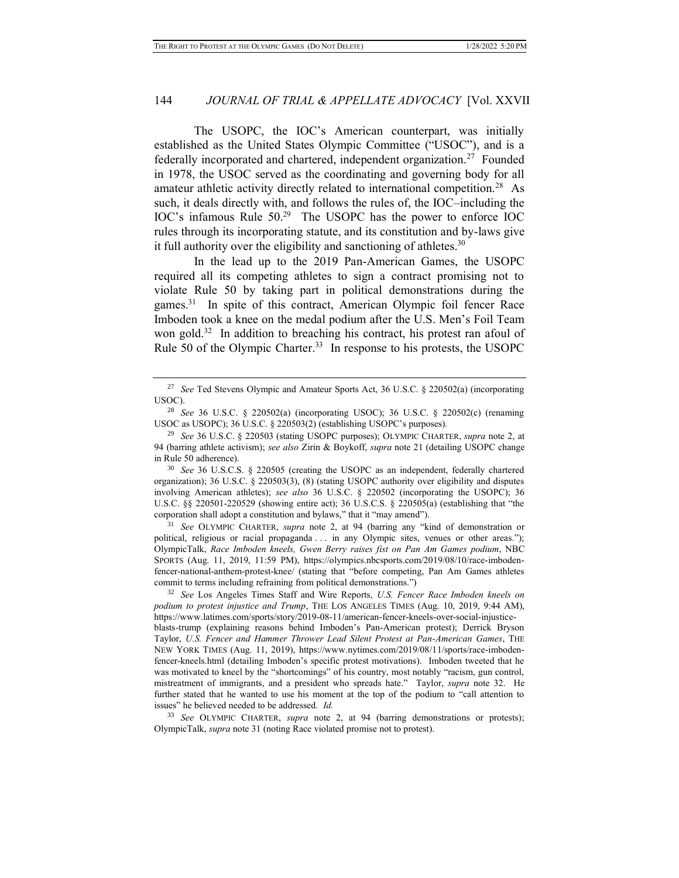The USOPC, the IOC's American counterpart, was initially established as the United States Olympic Committee ("USOC"), and is a federally incorporated and chartered, independent organization.<sup>27</sup> Founded in 1978, the USOC served as the coordinating and governing body for all amateur athletic activity directly related to international competition.<sup>28</sup> As such, it deals directly with, and follows the rules of, the IOC–including the IOC's infamous Rule 50.<sup>29</sup> The USOPC has the power to enforce IOC rules through its incorporating statute, and its constitution and by-laws give it full authority over the eligibility and sanctioning of athletes.<sup>30</sup>

In the lead up to the 2019 Pan-American Games, the USOPC required all its competing athletes to sign a contract promising not to violate Rule 50 by taking part in political demonstrations during the games.<sup>31</sup> In spite of this contract, American Olympic foil fencer Race Imboden took a knee on the medal podium after the U.S. Men's Foil Team won gold.<sup>32</sup> In addition to breaching his contract, his protest ran afoul of Rule 50 of the Olympic Charter.<sup>33</sup> In response to his protests, the USOPC

<sup>30</sup> *See* 36 U.S.C.S. § 220505 (creating the USOPC as an independent, federally chartered organization); 36 U.S.C. § 220503(3), (8) (stating USOPC authority over eligibility and disputes involving American athletes); *see also* 36 U.S.C. § 220502 (incorporating the USOPC); 36 U.S.C. §§ 220501-220529 (showing entire act); 36 U.S.C.S. § 220505(a) (establishing that "the corporation shall adopt a constitution and bylaws," that it "may amend").

<sup>31</sup> *See* OLYMPIC CHARTER, *supra* note 2, at 94 (barring any "kind of demonstration or political, religious or racial propaganda . . . in any Olympic sites, venues or other areas."); OlympicTalk, *Race Imboden kneels, Gwen Berry raises fist on Pan Am Games podium*, NBC SPORTS (Aug. 11, 2019, 11:59 PM), https://olympics.nbcsports.com/2019/08/10/race-imbodenfencer-national-anthem-protest-knee/ (stating that "before competing, Pan Am Games athletes commit to terms including refraining from political demonstrations.")

<sup>33</sup> *See* OLYMPIC CHARTER, *supra* note 2, at 94 (barring demonstrations or protests); OlympicTalk, *supra* note 31 (noting Race violated promise not to protest).

<sup>27</sup> *See* Ted Stevens Olympic and Amateur Sports Act, 36 U.S.C. § 220502(a) (incorporating USOC).

<sup>28</sup> *See* 36 U.S.C. § 220502(a) (incorporating USOC); 36 U.S.C. § 220502(c) (renaming USOC as USOPC); 36 U.S.C. § 220503(2) (establishing USOPC's purposes).

<sup>29</sup> *See* 36 U.S.C. § 220503 (stating USOPC purposes); OLYMPIC CHARTER, *supra* note 2, at 94 (barring athlete activism); *see also* Zirin & Boykoff, *supra* note 21 (detailing USOPC change in Rule 50 adherence).

<sup>32</sup> *See* Los Angeles Times Staff and Wire Reports, *U.S. Fencer Race Imboden kneels on podium to protest injustice and Trump*, THE LOS ANGELES TIMES (Aug. 10, 2019, 9:44 AM), https://www.latimes.com/sports/story/2019-08-11/american-fencer-kneels-over-social-injusticeblasts-trump (explaining reasons behind Imboden's Pan-American protest); Derrick Bryson Taylor, *U.S. Fencer and Hammer Thrower Lead Silent Protest at Pan-American Games*, THE NEW YORK TIMES (Aug. 11, 2019), https://www.nytimes.com/2019/08/11/sports/race-imbodenfencer-kneels.html (detailing Imboden's specific protest motivations). Imboden tweeted that he was motivated to kneel by the "shortcomings" of his country, most notably "racism, gun control, mistreatment of immigrants, and a president who spreads hate." Taylor, *supra* note 32. He further stated that he wanted to use his moment at the top of the podium to "call attention to issues" he believed needed to be addressed. *Id.*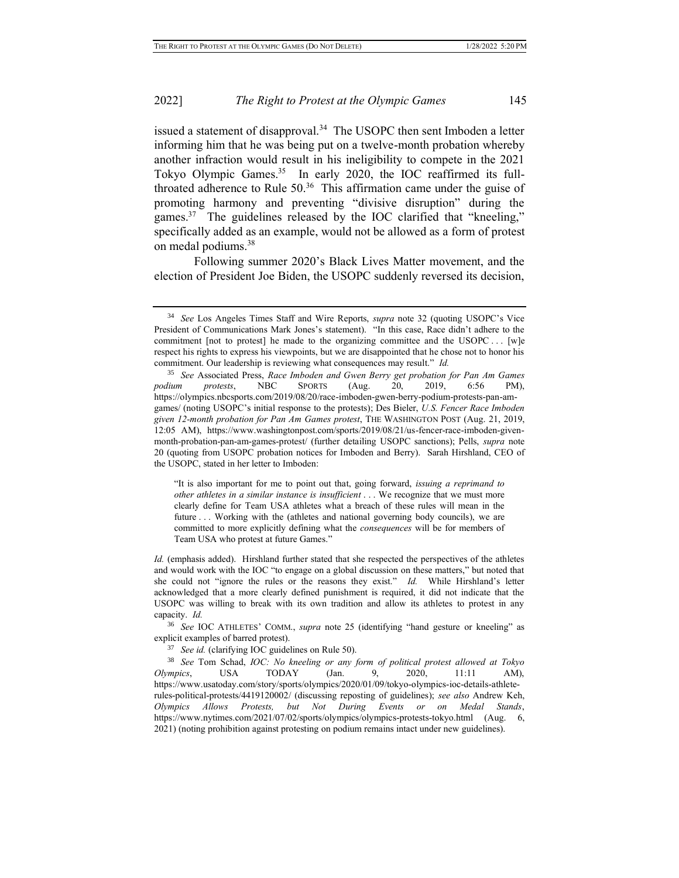issued a statement of disapproval.<sup>34</sup> The USOPC then sent Imboden a letter informing him that he was being put on a twelve-month probation whereby another infraction would result in his ineligibility to compete in the 2021 Tokyo Olympic Games.<sup>35</sup> In early 2020, the IOC reaffirmed its fullthroated adherence to Rule  $50<sup>36</sup>$  This affirmation came under the guise of promoting harmony and preventing "divisive disruption" during the games.<sup>37</sup> The guidelines released by the IOC clarified that "kneeling," specifically added as an example, would not be allowed as a form of protest on medal podiums.<sup>38</sup>

Following summer 2020's Black Lives Matter movement, and the election of President Joe Biden, the USOPC suddenly reversed its decision,

"It is also important for me to point out that, going forward, *issuing a reprimand to other athletes in a similar instance is insufficient* . . . We recognize that we must more clearly define for Team USA athletes what a breach of these rules will mean in the future . . . Working with the (athletes and national governing body councils), we are committed to more explicitly defining what the *consequences* will be for members of Team USA who protest at future Games."

*Id.* (emphasis added). Hirshland further stated that she respected the perspectives of the athletes and would work with the IOC "to engage on a global discussion on these matters," but noted that she could not "ignore the rules or the reasons they exist." *Id.* While Hirshland's letter acknowledged that a more clearly defined punishment is required, it did not indicate that the USOPC was willing to break with its own tradition and allow its athletes to protest in any capacity. *Id.* 

<sup>36</sup> *See* IOC ATHLETES' COMM., *supra* note 25 (identifying "hand gesture or kneeling" as explicit examples of barred protest).

<sup>37</sup> *See id.* (clarifying IOC guidelines on Rule 50).

<sup>38</sup> *See* Tom Schad, *IOC: No kneeling or any form of political protest allowed at Tokyo Olympics*, USA TODAY (Jan. 9, 2020, 11:11 AM), https://www.usatoday.com/story/sports/olympics/2020/01/09/tokyo-olympics-ioc-details-athleterules-political-protests/4419120002/ (discussing reposting of guidelines); *see also* Andrew Keh, *Olympics Allows Protests, but Not During Events or on Medal Stands*, https://www.nytimes.com/2021/07/02/sports/olympics/olympics-protests-tokyo.html (Aug. 6, 2021) (noting prohibition against protesting on podium remains intact under new guidelines).

<sup>34</sup> *See* Los Angeles Times Staff and Wire Reports, *supra* note 32 (quoting USOPC's Vice President of Communications Mark Jones's statement). "In this case, Race didn't adhere to the commitment [not to protest] he made to the organizing committee and the USOPC . . [w]e respect his rights to express his viewpoints, but we are disappointed that he chose not to honor his commitment. Our leadership is reviewing what consequences may result." *Id.*

<sup>35</sup> *See* Associated Press, *Race Imboden and Gwen Berry get probation for Pan Am Games podium protests*, NBC SPORTS (Aug. 20, 2019, 6:56 PM), https://olympics.nbcsports.com/2019/08/20/race-imboden-gwen-berry-podium-protests-pan-amgames/ (noting USOPC's initial response to the protests); Des Bieler, *U.S. Fencer Race Imboden given 12-month probation for Pan Am Games protest*, THE WASHINGTON POST (Aug. 21, 2019, 12:05 AM), https://www.washingtonpost.com/sports/2019/08/21/us-fencer-race-imboden-givenmonth-probation-pan-am-games-protest/ (further detailing USOPC sanctions); Pells, *supra* note 20 (quoting from USOPC probation notices for Imboden and Berry). Sarah Hirshland, CEO of the USOPC, stated in her letter to Imboden: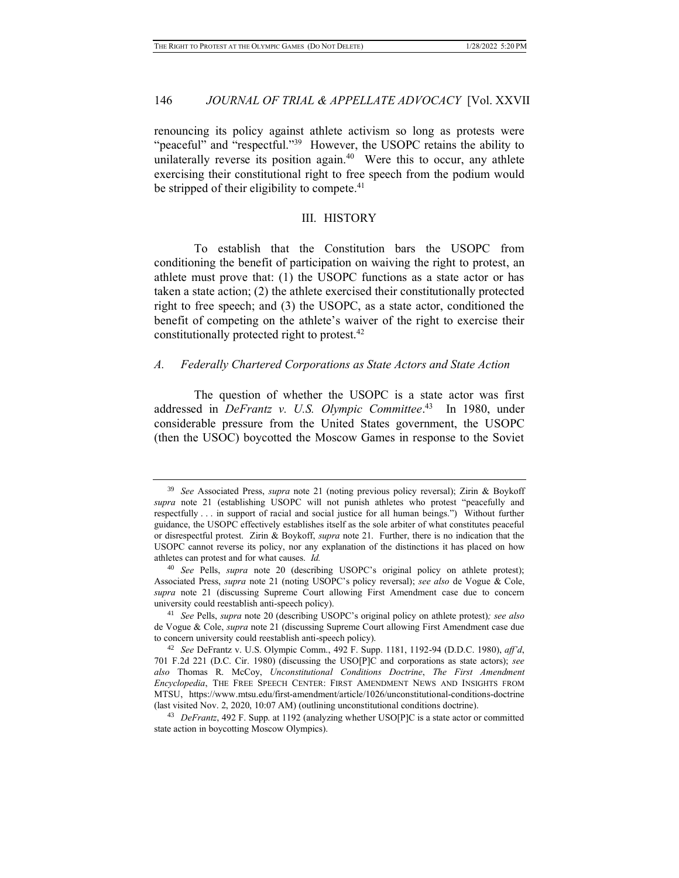renouncing its policy against athlete activism so long as protests were "peaceful" and "respectful."<sup>39</sup> However, the USOPC retains the ability to unilaterally reverse its position again. $40$  Were this to occur, any athlete exercising their constitutional right to free speech from the podium would be stripped of their eligibility to compete.<sup>41</sup>

#### III. HISTORY

To establish that the Constitution bars the USOPC from conditioning the benefit of participation on waiving the right to protest, an athlete must prove that: (1) the USOPC functions as a state actor or has taken a state action; (2) the athlete exercised their constitutionally protected right to free speech; and (3) the USOPC, as a state actor, conditioned the benefit of competing on the athlete's waiver of the right to exercise their constitutionally protected right to protest.<sup>42</sup>

#### *A. Federally Chartered Corporations as State Actors and State Action*

The question of whether the USOPC is a state actor was first addressed in *DeFrantz v. U.S. Olympic Committee*. 43 In 1980, under considerable pressure from the United States government, the USOPC (then the USOC) boycotted the Moscow Games in response to the Soviet

<sup>39</sup> *See* Associated Press, *supra* note 21 (noting previous policy reversal); Zirin & Boykoff *supra* note 21 (establishing USOPC will not punish athletes who protest "peacefully and respectfully . . . in support of racial and social justice for all human beings.") Without further guidance, the USOPC effectively establishes itself as the sole arbiter of what constitutes peaceful or disrespectful protest. Zirin & Boykoff, *supra* note 21. Further, there is no indication that the USOPC cannot reverse its policy, nor any explanation of the distinctions it has placed on how athletes can protest and for what causes. *Id.*

<sup>40</sup> *See* Pells, *supra* note 20 (describing USOPC's original policy on athlete protest); Associated Press, *supra* note 21 (noting USOPC's policy reversal); *see also* de Vogue & Cole, *supra* note 21 (discussing Supreme Court allowing First Amendment case due to concern university could reestablish anti-speech policy).

<sup>41</sup> *See* Pells, *supra* note 20 (describing USOPC's original policy on athlete protest)*; see also* de Vogue & Cole, *supra* note 21 (discussing Supreme Court allowing First Amendment case due to concern university could reestablish anti-speech policy).

<sup>42</sup> *See* DeFrantz v. U.S. Olympic Comm., 492 F. Supp. 1181, 1192-94 (D.D.C. 1980), *aff'd*, 701 F.2d 221 (D.C. Cir. 1980) (discussing the USO[P]C and corporations as state actors); *see also* Thomas R. McCoy, *Unconstitutional Conditions Doctrine*, *The First Amendment Encyclopedia*, THE FREE SPEECH CENTER: FIRST AMENDMENT NEWS AND INSIGHTS FROM MTSU, https://www.mtsu.edu/first-amendment/article/1026/unconstitutional-conditions-doctrine (last visited Nov. 2, 2020, 10:07 AM) (outlining unconstitutional conditions doctrine).

<sup>43</sup> *DeFrantz*, 492 F. Supp. at 1192 (analyzing whether USO[P]C is a state actor or committed state action in boycotting Moscow Olympics).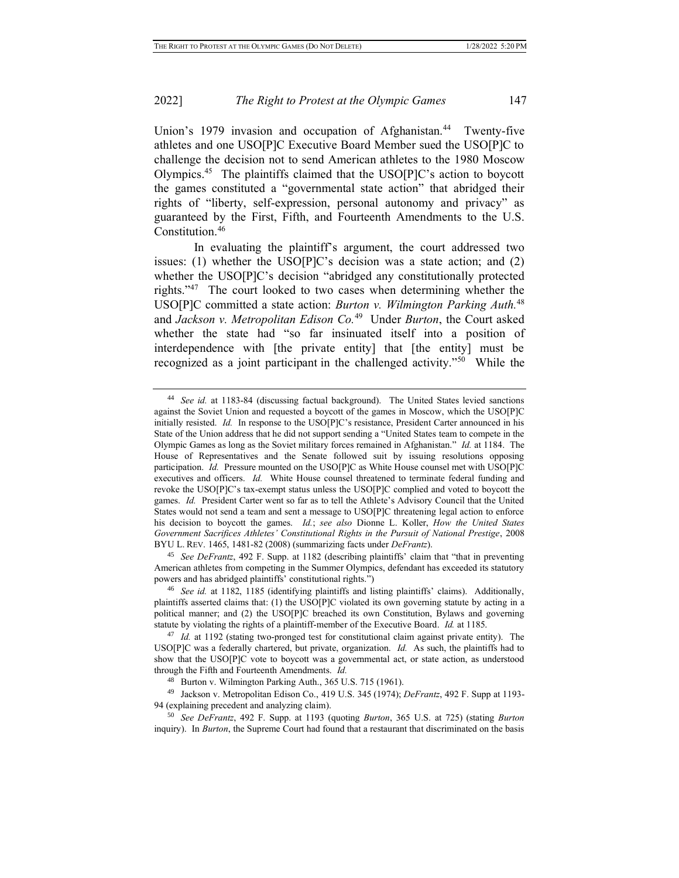Union's 1979 invasion and occupation of Afghanistan.<sup>44</sup> Twenty-five athletes and one USO[P]C Executive Board Member sued the USO[P]C to challenge the decision not to send American athletes to the 1980 Moscow Olympics.<sup>45</sup> The plaintiffs claimed that the USO[P]C's action to boycott the games constituted a "governmental state action" that abridged their rights of "liberty, self-expression, personal autonomy and privacy" as guaranteed by the First, Fifth, and Fourteenth Amendments to the U.S. Constitution.<sup>46</sup>

In evaluating the plaintiff's argument, the court addressed two issues: (1) whether the USO[P]C's decision was a state action; and (2) whether the USO[P]C's decision "abridged any constitutionally protected rights."<sup>47</sup> The court looked to two cases when determining whether the USO[P]C committed a state action: *Burton v. Wilmington Parking Auth.*<sup>48</sup> and *Jackson v. Metropolitan Edison Co.*<sup>49</sup> Under *Burton*, the Court asked whether the state had "so far insinuated itself into a position of interdependence with [the private entity] that [the entity] must be recognized as a joint participant in the challenged activity."<sup>50</sup> While the

<sup>45</sup> *See DeFrantz*, 492 F. Supp. at 1182 (describing plaintiffs' claim that "that in preventing American athletes from competing in the Summer Olympics, defendant has exceeded its statutory powers and has abridged plaintiffs' constitutional rights.")

<sup>44</sup> *See id.* at 1183-84 (discussing factual background). The United States levied sanctions against the Soviet Union and requested a boycott of the games in Moscow, which the USO[P]C initially resisted. *Id.* In response to the USO[P]C's resistance, President Carter announced in his State of the Union address that he did not support sending a "United States team to compete in the Olympic Games as long as the Soviet military forces remained in Afghanistan." *Id.* at 1184. The House of Representatives and the Senate followed suit by issuing resolutions opposing participation. *Id.* Pressure mounted on the USO[P]C as White House counsel met with USO[P]C executives and officers. *Id.* White House counsel threatened to terminate federal funding and revoke the USO[P]C's tax-exempt status unless the USO[P]C complied and voted to boycott the games. *Id.* President Carter went so far as to tell the Athlete's Advisory Council that the United States would not send a team and sent a message to USO[P]C threatening legal action to enforce his decision to boycott the games. *Id.*; *see also* Dionne L. Koller, *How the United States Government Sacrifices Athletes' Constitutional Rights in the Pursuit of National Prestige*, 2008 BYU L. REV. 1465, 1481-82 (2008) (summarizing facts under *DeFrantz*).

<sup>46</sup> *See id.* at 1182, 1185 (identifying plaintiffs and listing plaintiffs' claims). Additionally, plaintiffs asserted claims that: (1) the USO[P]C violated its own governing statute by acting in a political manner; and (2) the USO[P]C breached its own Constitution, Bylaws and governing statute by violating the rights of a plaintiff-member of the Executive Board. *Id.* at 1185.

<sup>47</sup> *Id.* at 1192 (stating two-pronged test for constitutional claim against private entity). The USO[P]C was a federally chartered, but private, organization. *Id.* As such, the plaintiffs had to show that the USO[P]C vote to boycott was a governmental act, or state action, as understood through the Fifth and Fourteenth Amendments. *Id.*

<sup>48</sup> Burton v. Wilmington Parking Auth., 365 U.S. 715 (1961).

<sup>49</sup> Jackson v. Metropolitan Edison Co., 419 U.S. 345 (1974); *DeFrantz*, 492 F. Supp at 1193- 94 (explaining precedent and analyzing claim).

<sup>50</sup> *See DeFrantz*, 492 F. Supp. at 1193 (quoting *Burton*, 365 U.S. at 725) (stating *Burton* inquiry). In *Burton*, the Supreme Court had found that a restaurant that discriminated on the basis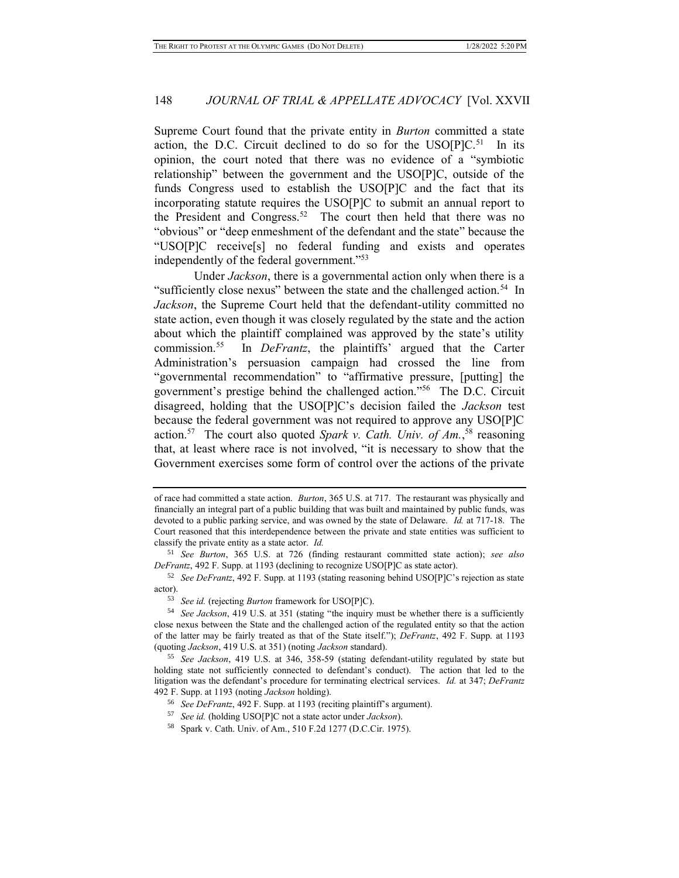Supreme Court found that the private entity in *Burton* committed a state action, the D.C. Circuit declined to do so for the  $USO[P]C$ <sup>51</sup> In its opinion, the court noted that there was no evidence of a "symbiotic relationship" between the government and the USO[P]C, outside of the funds Congress used to establish the USO[P]C and the fact that its incorporating statute requires the USO[P]C to submit an annual report to the President and Congress.<sup>52</sup> The court then held that there was no "obvious" or "deep enmeshment of the defendant and the state" because the "USO[P]C receive[s] no federal funding and exists and operates independently of the federal government."<sup>53</sup>

Under *Jackson*, there is a governmental action only when there is a "sufficiently close nexus" between the state and the challenged action.<sup>54</sup> In *Jackson*, the Supreme Court held that the defendant-utility committed no state action, even though it was closely regulated by the state and the action about which the plaintiff complained was approved by the state's utility commission.<sup>55</sup> In *DeFrantz*, the plaintiffs' argued that the Carter Administration's persuasion campaign had crossed the line from "governmental recommendation" to "affirmative pressure, [putting] the government's prestige behind the challenged action."<sup>56</sup> The D.C. Circuit disagreed, holding that the USO[P]C's decision failed the *Jackson* test because the federal government was not required to approve any USO[P]C action.<sup>57</sup> The court also quoted *Spark v. Cath. Univ. of Am.*,<sup>58</sup> reasoning that, at least where race is not involved, "it is necessary to show that the Government exercises some form of control over the actions of the private

of race had committed a state action. *Burton*, 365 U.S. at 717. The restaurant was physically and financially an integral part of a public building that was built and maintained by public funds, was devoted to a public parking service, and was owned by the state of Delaware. *Id.* at 717-18. The Court reasoned that this interdependence between the private and state entities was sufficient to classify the private entity as a state actor. *Id.*

<sup>51</sup> *See Burton*, 365 U.S. at 726 (finding restaurant committed state action); *see also DeFrantz*, 492 F. Supp. at 1193 (declining to recognize USO[P]C as state actor).

<sup>52</sup> *See DeFrantz*, 492 F. Supp. at 1193 (stating reasoning behind USO[P]C's rejection as state actor).

<sup>53</sup> *See id.* (rejecting *Burton* framework for USO[P]C).

<sup>54</sup> *See Jackson*, 419 U.S. at 351 (stating "the inquiry must be whether there is a sufficiently close nexus between the State and the challenged action of the regulated entity so that the action of the latter may be fairly treated as that of the State itself."); *DeFrantz*, 492 F. Supp. at 1193 (quoting *Jackson*, 419 U.S. at 351) (noting *Jackson* standard).

<sup>55</sup> *See Jackson*, 419 U.S. at 346, 358-59 (stating defendant-utility regulated by state but holding state not sufficiently connected to defendant's conduct). The action that led to the litigation was the defendant's procedure for terminating electrical services. *Id.* at 347; *DeFrantz*  492 F. Supp. at 1193 (noting *Jackson* holding).

<sup>56</sup> *See DeFrantz*, 492 F. Supp. at 1193 (reciting plaintiff's argument).

<sup>57</sup> *See id.* (holding USO[P]C not a state actor under *Jackson*).

<sup>58</sup> Spark v. Cath. Univ. of Am., 510 F.2d 1277 (D.C.Cir. 1975).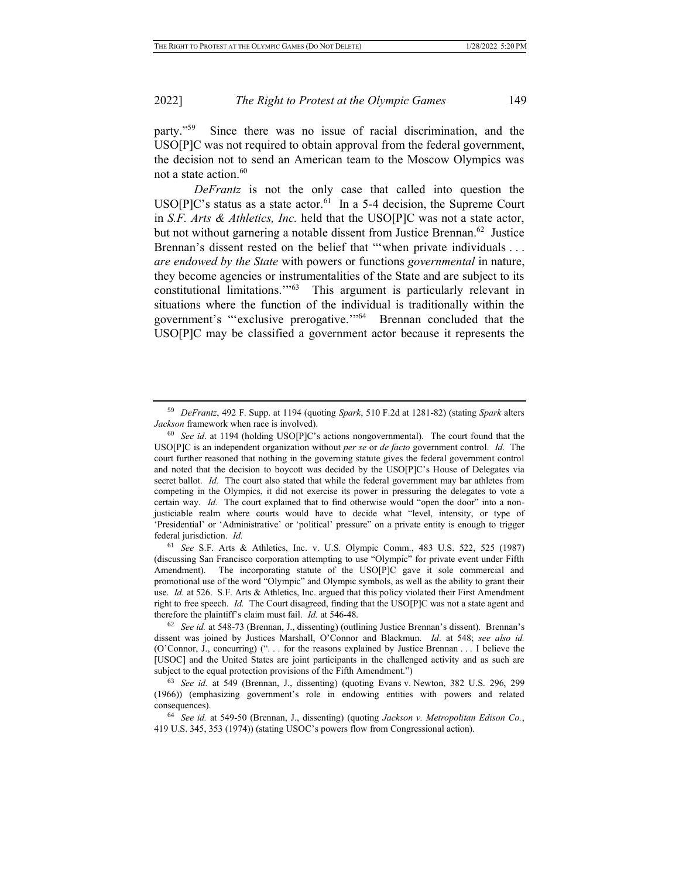party."<sup>59</sup> Since there was no issue of racial discrimination, and the USO[P]C was not required to obtain approval from the federal government, the decision not to send an American team to the Moscow Olympics was not a state action.<sup>60</sup>

*DeFrantz* is not the only case that called into question the  $USO[P]C$ 's status as a state actor.<sup>61</sup> In a 5-4 decision, the Supreme Court in *S.F. Arts & Athletics, Inc.* held that the USO[P]C was not a state actor, but not without garnering a notable dissent from Justice Brennan.<sup>62</sup> Justice Brennan's dissent rested on the belief that ""when private individuals ... *are endowed by the State* with powers or functions *governmental* in nature, they become agencies or instrumentalities of the State and are subject to its constitutional limitations.'"<sup>63</sup> This argument is particularly relevant in situations where the function of the individual is traditionally within the government's "'exclusive prerogative.'"<sup>64</sup> Brennan concluded that the USO[P]C may be classified a government actor because it represents the

<sup>61</sup> *See* S.F. Arts & Athletics, Inc. v. U.S. Olympic Comm., 483 U.S. 522, 525 (1987) (discussing San Francisco corporation attempting to use "Olympic" for private event under Fifth Amendment). The incorporating statute of the USO[P]C gave it sole commercial and promotional use of the word "Olympic" and Olympic symbols, as well as the ability to grant their use. *Id.* at 526. S.F. Arts & Athletics, Inc. argued that this policy violated their First Amendment right to free speech. *Id.* The Court disagreed, finding that the USO[P]C was not a state agent and therefore the plaintiff's claim must fail. *Id.* at 546-48.

<sup>59</sup> *DeFrantz*, 492 F. Supp. at 1194 (quoting *Spark*, 510 F.2d at 1281-82) (stating *Spark* alters *Jackson* framework when race is involved).

<sup>60</sup> *See id*. at 1194 (holding USO[P]C's actions nongovernmental). The court found that the USO[P]C is an independent organization without *per se* or *de facto* government control. *Id.* The court further reasoned that nothing in the governing statute gives the federal government control and noted that the decision to boycott was decided by the USO[P]C's House of Delegates via secret ballot. *Id.* The court also stated that while the federal government may bar athletes from competing in the Olympics, it did not exercise its power in pressuring the delegates to vote a certain way. *Id.* The court explained that to find otherwise would "open the door" into a nonjusticiable realm where courts would have to decide what "level, intensity, or type of 'Presidential' or 'Administrative' or 'political' pressure" on a private entity is enough to trigger federal jurisdiction. *Id.*

<sup>62</sup> *See id.* at 548-73 (Brennan, J., dissenting) (outlining Justice Brennan's dissent). Brennan's dissent was joined by Justices Marshall, O'Connor and Blackmun. *Id*. at 548; *see also id.* (O'Connor, J., concurring) (". . . for the reasons explained by Justice Brennan . . . I believe the [USOC] and the United States are joint participants in the challenged activity and as such are subject to the equal protection provisions of the Fifth Amendment.")

<sup>63</sup> *See id.* at 549 (Brennan, J., dissenting) (quoting Evans v. Newton, 382 U.S. 296, 299 (1966)) (emphasizing government's role in endowing entities with powers and related consequences).

<sup>64</sup> *See id.* at 549-50 (Brennan, J., dissenting) (quoting *Jackson v. Metropolitan Edison Co.*, 419 U.S. 345, 353 (1974)) (stating USOC's powers flow from Congressional action).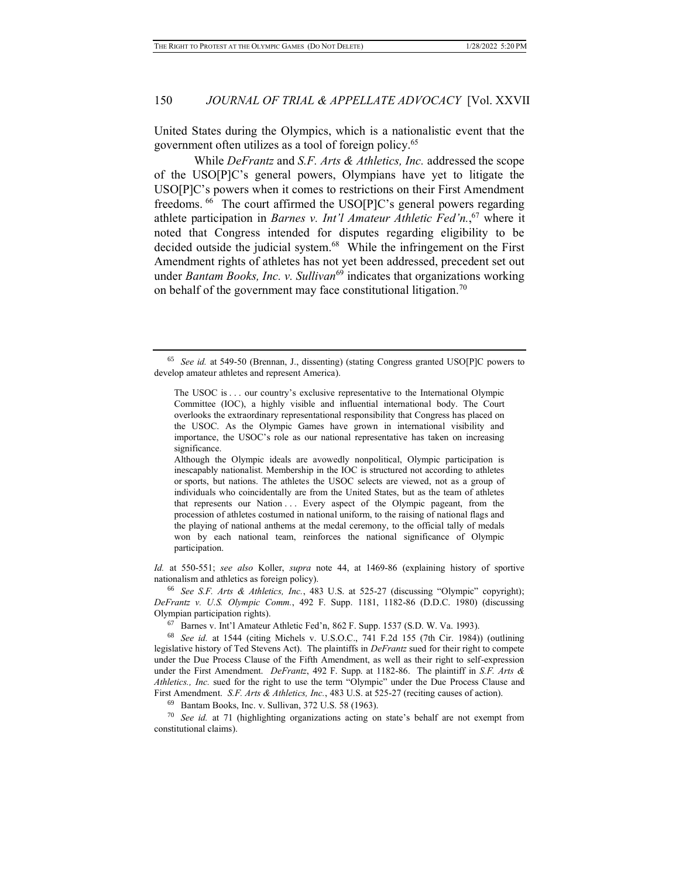United States during the Olympics, which is a nationalistic event that the government often utilizes as a tool of foreign policy.<sup>65</sup>

While *DeFrantz* and *S.F. Arts & Athletics, Inc.* addressed the scope of the USO[P]C's general powers, Olympians have yet to litigate the USO[P]C's powers when it comes to restrictions on their First Amendment freedoms. <sup>66</sup> The court affirmed the USO[P]C's general powers regarding athlete participation in *Barnes v. Int'l Amateur Athletic Fed'n.*, <sup>67</sup> where it noted that Congress intended for disputes regarding eligibility to be decided outside the judicial system.<sup>68</sup> While the infringement on the First Amendment rights of athletes has not yet been addressed, precedent set out under *Bantam Books, Inc. v. Sullivan*<sup>69</sup> indicates that organizations working on behalf of the government may face constitutional litigation.<sup>70</sup>

Although the Olympic ideals are avowedly nonpolitical, Olympic participation is inescapably nationalist. Membership in the IOC is structured not according to athletes or sports, but nations. The athletes the USOC selects are viewed, not as a group of individuals who coincidentally are from the United States, but as the team of athletes that represents our Nation . . . Every aspect of the Olympic pageant, from the procession of athletes costumed in national uniform, to the raising of national flags and the playing of national anthems at the medal ceremony, to the official tally of medals won by each national team, reinforces the national significance of Olympic participation.

*Id.* at 550-551; *see also* Koller, *supra* note 44, at 1469-86 (explaining history of sportive nationalism and athletics as foreign policy).

<sup>66</sup> *See S.F. Arts & Athletics, Inc.*, 483 U.S. at 525-27 (discussing "Olympic" copyright); *DeFrantz v. U.S. Olympic Comm.*, 492 F. Supp. 1181, 1182-86 (D.D.C. 1980) (discussing Olympian participation rights).

<sup>67</sup> Barnes v. Int'l Amateur Athletic Fed'n, 862 F. Supp. 1537 (S.D. W. Va. 1993).

<sup>68</sup> *See id.* at 1544 (citing Michels v. U.S.O.C., 741 F.2d 155 (7th Cir. 1984)) (outlining legislative history of Ted Stevens Act). The plaintiffs in *DeFrantz* sued for their right to compete under the Due Process Clause of the Fifth Amendment, as well as their right to self-expression under the First Amendment. *DeFrantz*, 492 F. Supp. at 1182-86. The plaintiff in *S.F. Arts & Athletics., Inc.* sued for the right to use the term "Olympic" under the Due Process Clause and First Amendment. *S.F. Arts & Athletics, Inc.*, 483 U.S. at 525-27 (reciting causes of action).

<sup>69</sup> Bantam Books, Inc. v. Sullivan, 372 U.S. 58 (1963).

<sup>70</sup> *See id.* at 71 (highlighting organizations acting on state's behalf are not exempt from constitutional claims).

<sup>65</sup> *See id.* at 549-50 (Brennan, J., dissenting) (stating Congress granted USO[P]C powers to develop amateur athletes and represent America).

The USOC is . . . our country's exclusive representative to the International Olympic Committee (IOC), a highly visible and influential international body. The Court overlooks the extraordinary representational responsibility that Congress has placed on the USOC. As the Olympic Games have grown in international visibility and importance, the USOC's role as our national representative has taken on increasing significance.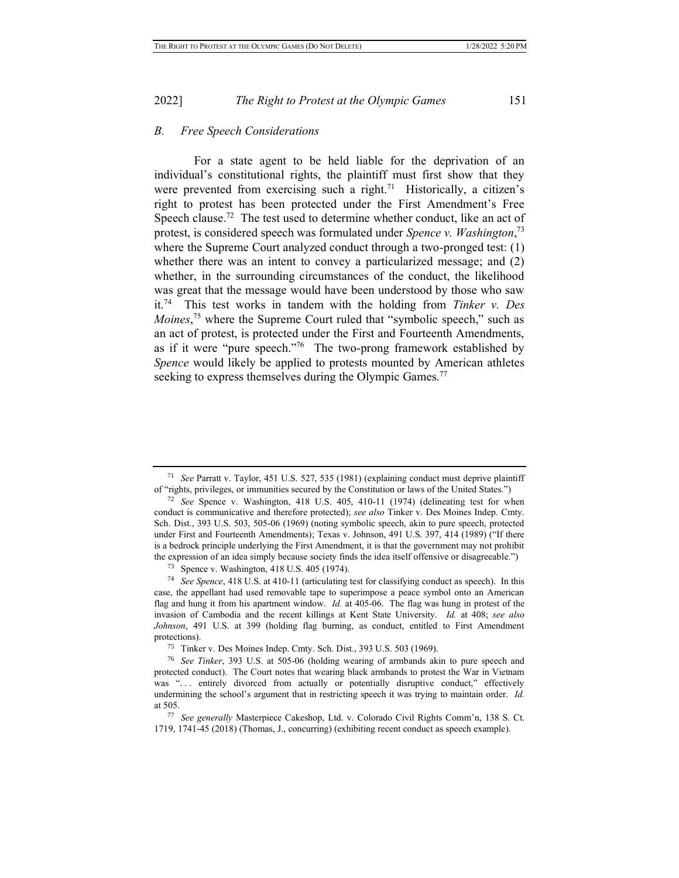#### *B. Free Speech Considerations*

For a state agent to be held liable for the deprivation of an individual's constitutional rights, the plaintiff must first show that they were prevented from exercising such a right.<sup>71</sup> Historically, a citizen's right to protest has been protected under the First Amendment's Free Speech clause.<sup>72</sup> The test used to determine whether conduct, like an act of protest, is considered speech was formulated under *Spence v. Washington*, 73 where the Supreme Court analyzed conduct through a two-pronged test: (1) whether there was an intent to convey a particularized message; and (2) whether, in the surrounding circumstances of the conduct, the likelihood was great that the message would have been understood by those who saw it.<sup>74</sup> This test works in tandem with the holding from *Tinker v. Des*  Moines,<sup>75</sup> where the Supreme Court ruled that "symbolic speech," such as an act of protest, is protected under the First and Fourteenth Amendments, as if it were "pure speech."<sup>76</sup> The two-prong framework established by *Spence* would likely be applied to protests mounted by American athletes seeking to express themselves during the Olympic Games.<sup>77</sup>

<sup>71</sup> *See* Parratt v. Taylor, 451 U.S. 527, 535 (1981) (explaining conduct must deprive plaintiff of "rights, privileges, or immunities secured by the Constitution or laws of the United States.")

<sup>72</sup> *See* Spence v. Washington, 418 U.S. 405, 410-11 (1974) (delineating test for when conduct is communicative and therefore protected); *see also* Tinker v. Des Moines Indep. Cmty. Sch. Dist., 393 U.S. 503, 505-06 (1969) (noting symbolic speech, akin to pure speech, protected under First and Fourteenth Amendments); Texas v. Johnson, 491 U.S. 397, 414 (1989) ("If there is a bedrock principle underlying the First Amendment, it is that the government may not prohibit the expression of an idea simply because society finds the idea itself offensive or disagreeable.")

<sup>73</sup> Spence v. Washington, 418 U.S. 405 (1974).

<sup>74</sup> *See Spence*, 418 U.S. at 410-11 (articulating test for classifying conduct as speech). In this case, the appellant had used removable tape to superimpose a peace symbol onto an American flag and hung it from his apartment window. *Id.* at 405-06. The flag was hung in protest of the invasion of Cambodia and the recent killings at Kent State University. *Id.* at 408; *see also Johnson*, 491 U.S. at 399 (holding flag burning, as conduct, entitled to First Amendment protections).

<sup>75</sup> Tinker v. Des Moines Indep. Cmty. Sch. Dist., 393 U.S. 503 (1969).

<sup>76</sup> *See Tinker*, 393 U.S. at 505-06 (holding wearing of armbands akin to pure speech and protected conduct). The Court notes that wearing black armbands to protest the War in Vietnam was "... entirely divorced from actually or potentially disruptive conduct," effectively undermining the school's argument that in restricting speech it was trying to maintain order. *Id.* at 505.

<sup>77</sup> *See generally* Masterpiece Cakeshop, Ltd. v. Colorado Civil Rights Comm'n, 138 S. Ct. 1719, 1741-45 (2018) (Thomas, J., concurring) (exhibiting recent conduct as speech example).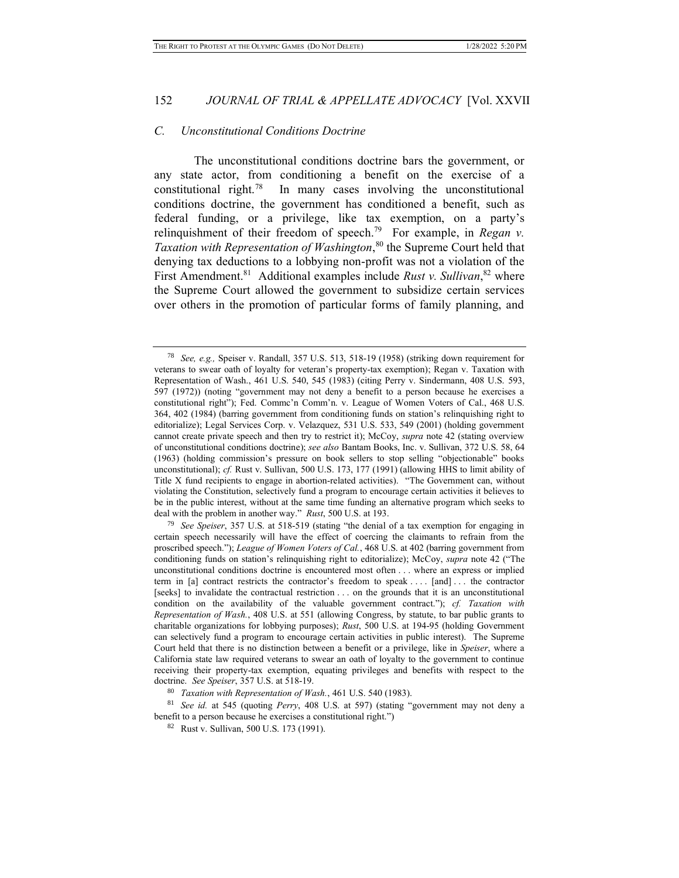#### *C. Unconstitutional Conditions Doctrine*

The unconstitutional conditions doctrine bars the government, or any state actor, from conditioning a benefit on the exercise of a constitutional right.<sup>78</sup> In many cases involving the unconstitutional conditions doctrine, the government has conditioned a benefit, such as federal funding, or a privilege, like tax exemption, on a party's relinquishment of their freedom of speech.<sup>79</sup> For example, in *Regan v*. *Taxation with Representation of Washington*, <sup>80</sup> the Supreme Court held that denying tax deductions to a lobbying non-profit was not a violation of the First Amendment.<sup>81</sup> Additional examples include *Rust v. Sullivan*,<sup>82</sup> where the Supreme Court allowed the government to subsidize certain services over others in the promotion of particular forms of family planning, and

<sup>78</sup> *See, e.g.,* Speiser v. Randall, 357 U.S. 513, 518-19 (1958) (striking down requirement for veterans to swear oath of loyalty for veteran's property-tax exemption); Regan v. Taxation with Representation of Wash., 461 U.S. 540, 545 (1983) (citing Perry v. Sindermann, 408 U.S. 593, 597 (1972)) (noting "government may not deny a benefit to a person because he exercises a constitutional right"); Fed. Commc'n Comm'n. v. League of Women Voters of Cal., 468 U.S. 364, 402 (1984) (barring government from conditioning funds on station's relinquishing right to editorialize); Legal Services Corp. v. Velazquez, 531 U.S. 533, 549 (2001) (holding government cannot create private speech and then try to restrict it); McCoy, *supra* note 42 (stating overview of unconstitutional conditions doctrine); *see also* Bantam Books, Inc. v. Sullivan, 372 U.S. 58, 64 (1963) (holding commission's pressure on book sellers to stop selling "objectionable" books unconstitutional); *cf.* Rust v. Sullivan, 500 U.S. 173, 177 (1991) (allowing HHS to limit ability of Title X fund recipients to engage in abortion-related activities). "The Government can, without violating the Constitution, selectively fund a program to encourage certain activities it believes to be in the public interest, without at the same time funding an alternative program which seeks to deal with the problem in another way." *Rust*, 500 U.S. at 193.

<sup>79</sup> *See Speiser*, 357 U.S. at 518-519 (stating "the denial of a tax exemption for engaging in certain speech necessarily will have the effect of coercing the claimants to refrain from the proscribed speech."); *League of Women Voters of Cal.*, 468 U.S. at 402 (barring government from conditioning funds on station's relinquishing right to editorialize); McCoy, *supra* note 42 ("The unconstitutional conditions doctrine is encountered most often . . . where an express or implied term in [a] contract restricts the contractor's freedom to speak . . . . [and] . . . the contractor [seeks] to invalidate the contractual restriction . . . on the grounds that it is an unconstitutional condition on the availability of the valuable government contract."); *cf. Taxation with Representation of Wash.*, 408 U.S. at 551 (allowing Congress, by statute, to bar public grants to charitable organizations for lobbying purposes); *Rust*, 500 U.S. at 194-95 (holding Government can selectively fund a program to encourage certain activities in public interest). The Supreme Court held that there is no distinction between a benefit or a privilege, like in *Speiser*, where a California state law required veterans to swear an oath of loyalty to the government to continue receiving their property-tax exemption, equating privileges and benefits with respect to the doctrine. *See Speiser*, 357 U.S. at 518-19.

<sup>80</sup> *Taxation with Representation of Wash.*, 461 U.S. 540 (1983).

<sup>81</sup> *See id.* at 545 (quoting *Perry*, 408 U.S. at 597) (stating "government may not deny a benefit to a person because he exercises a constitutional right.")

<sup>82</sup> Rust v. Sullivan, 500 U.S. 173 (1991).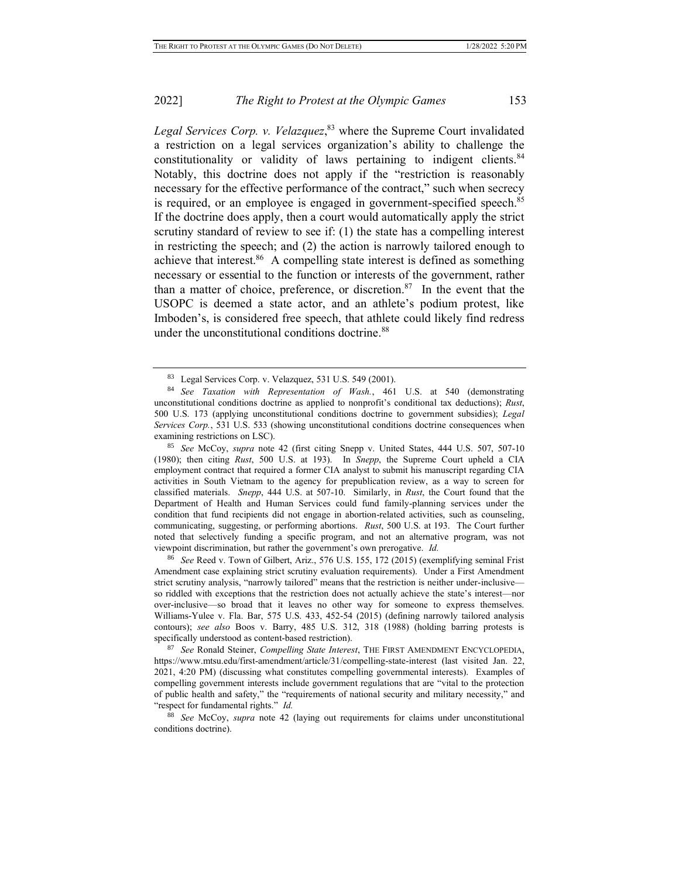*Legal Services Corp. v. Velazquez*, <sup>83</sup> where the Supreme Court invalidated a restriction on a legal services organization's ability to challenge the constitutionality or validity of laws pertaining to indigent clients.<sup>84</sup> Notably, this doctrine does not apply if the "restriction is reasonably necessary for the effective performance of the contract," such when secrecy is required, or an employee is engaged in government-specified speech.<sup>85</sup> If the doctrine does apply, then a court would automatically apply the strict scrutiny standard of review to see if: (1) the state has a compelling interest in restricting the speech; and (2) the action is narrowly tailored enough to achieve that interest.<sup>86</sup> A compelling state interest is defined as something necessary or essential to the function or interests of the government, rather than a matter of choice, preference, or discretion.<sup>87</sup> In the event that the USOPC is deemed a state actor, and an athlete's podium protest, like Imboden's, is considered free speech, that athlete could likely find redress under the unconstitutional conditions doctrine.<sup>88</sup>

<sup>85</sup> *See* McCoy, *supra* note 42 (first citing Snepp v. United States, 444 U.S. 507, 507-10 (1980); then citing *Rust*, 500 U.S. at 193). In *Snepp*, the Supreme Court upheld a CIA employment contract that required a former CIA analyst to submit his manuscript regarding CIA activities in South Vietnam to the agency for prepublication review, as a way to screen for classified materials. *Snepp*, 444 U.S. at 507-10. Similarly, in *Rust*, the Court found that the Department of Health and Human Services could fund family-planning services under the condition that fund recipients did not engage in abortion-related activities, such as counseling, communicating, suggesting, or performing abortions. *Rust*, 500 U.S. at 193. The Court further noted that selectively funding a specific program, and not an alternative program, was not viewpoint discrimination, but rather the government's own prerogative. *Id.*

<sup>86</sup> *See* Reed v. Town of Gilbert, Ariz., 576 U.S. 155, 172 (2015) (exemplifying seminal Frist Amendment case explaining strict scrutiny evaluation requirements). Under a First Amendment strict scrutiny analysis, "narrowly tailored" means that the restriction is neither under-inclusive so riddled with exceptions that the restriction does not actually achieve the state's interest—nor over-inclusive—so broad that it leaves no other way for someone to express themselves. Williams-Yulee v. Fla. Bar, 575 U.S. 433, 452-54 (2015) (defining narrowly tailored analysis contours); *see also* Boos v. Barry, 485 U.S. 312, 318 (1988) (holding barring protests is specifically understood as content-based restriction).

<sup>87</sup> *See* Ronald Steiner, *Compelling State Interest*, THE FIRST AMENDMENT ENCYCLOPEDIA, https://www.mtsu.edu/first-amendment/article/31/compelling-state-interest (last visited Jan. 22, 2021, 4:20 PM) (discussing what constitutes compelling governmental interests). Examples of compelling government interests include government regulations that are "vital to the protection of public health and safety," the "requirements of national security and military necessity," and "respect for fundamental rights." *Id.*

<sup>88</sup> *See* McCoy, *supra* note 42 (laying out requirements for claims under unconstitutional conditions doctrine).

<sup>83</sup> Legal Services Corp. v. Velazquez, 531 U.S. 549 (2001).

<sup>84</sup> *See Taxation with Representation of Wash.*, 461 U.S. at 540 (demonstrating unconstitutional conditions doctrine as applied to nonprofit's conditional tax deductions); *Rust*, 500 U.S. 173 (applying unconstitutional conditions doctrine to government subsidies); *Legal Services Corp.*, 531 U.S. 533 (showing unconstitutional conditions doctrine consequences when examining restrictions on LSC).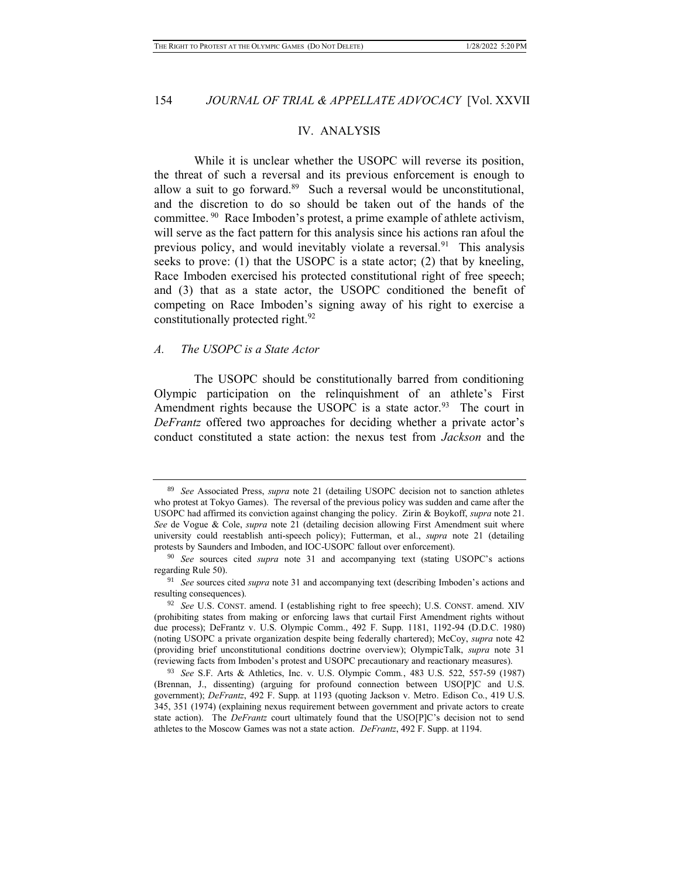## IV. ANALYSIS

While it is unclear whether the USOPC will reverse its position, the threat of such a reversal and its previous enforcement is enough to allow a suit to go forward.<sup>89</sup> Such a reversal would be unconstitutional, and the discretion to do so should be taken out of the hands of the committee.<sup>90</sup> Race Imboden's protest, a prime example of athlete activism, will serve as the fact pattern for this analysis since his actions ran afoul the previous policy, and would inevitably violate a reversal.<sup>91</sup> This analysis seeks to prove: (1) that the USOPC is a state actor; (2) that by kneeling, Race Imboden exercised his protected constitutional right of free speech; and (3) that as a state actor, the USOPC conditioned the benefit of competing on Race Imboden's signing away of his right to exercise a constitutionally protected right.<sup>92</sup>

#### *A. The USOPC is a State Actor*

The USOPC should be constitutionally barred from conditioning Olympic participation on the relinquishment of an athlete's First Amendment rights because the USOPC is a state actor.<sup>93</sup> The court in *DeFrantz* offered two approaches for deciding whether a private actor's conduct constituted a state action: the nexus test from *Jackson* and the

<sup>89</sup> *See* Associated Press, *supra* note 21 (detailing USOPC decision not to sanction athletes who protest at Tokyo Games). The reversal of the previous policy was sudden and came after the USOPC had affirmed its conviction against changing the policy. Zirin & Boykoff, *supra* note 21. *See* de Vogue & Cole, *supra* note 21 (detailing decision allowing First Amendment suit where university could reestablish anti-speech policy); Futterman, et al., *supra* note 21 (detailing protests by Saunders and Imboden, and IOC-USOPC fallout over enforcement).

<sup>90</sup> *See* sources cited *supra* note 31 and accompanying text (stating USOPC's actions regarding Rule 50).

<sup>91</sup> *See* sources cited *supra* note 31 and accompanying text (describing Imboden's actions and resulting consequences).

<sup>92</sup> *See* U.S. CONST. amend. I (establishing right to free speech); U.S. CONST. amend. XIV (prohibiting states from making or enforcing laws that curtail First Amendment rights without due process); DeFrantz v. U.S. Olympic Comm., 492 F. Supp. 1181, 1192-94 (D.D.C. 1980) (noting USOPC a private organization despite being federally chartered); McCoy, *supra* note 42 (providing brief unconstitutional conditions doctrine overview); OlympicTalk, *supra* note 31 (reviewing facts from Imboden's protest and USOPC precautionary and reactionary measures).

<sup>93</sup> *See* S.F. Arts & Athletics, Inc. v. U.S. Olympic Comm*.*, 483 U.S. 522, 557-59 (1987) (Brennan, J., dissenting) (arguing for profound connection between USO[P]C and U.S. government); *DeFrantz*, 492 F. Supp. at 1193 (quoting Jackson v. Metro. Edison Co., 419 U.S. 345, 351 (1974) (explaining nexus requirement between government and private actors to create state action). The *DeFrantz* court ultimately found that the USO[P]C's decision not to send athletes to the Moscow Games was not a state action. *DeFrantz*, 492 F. Supp. at 1194.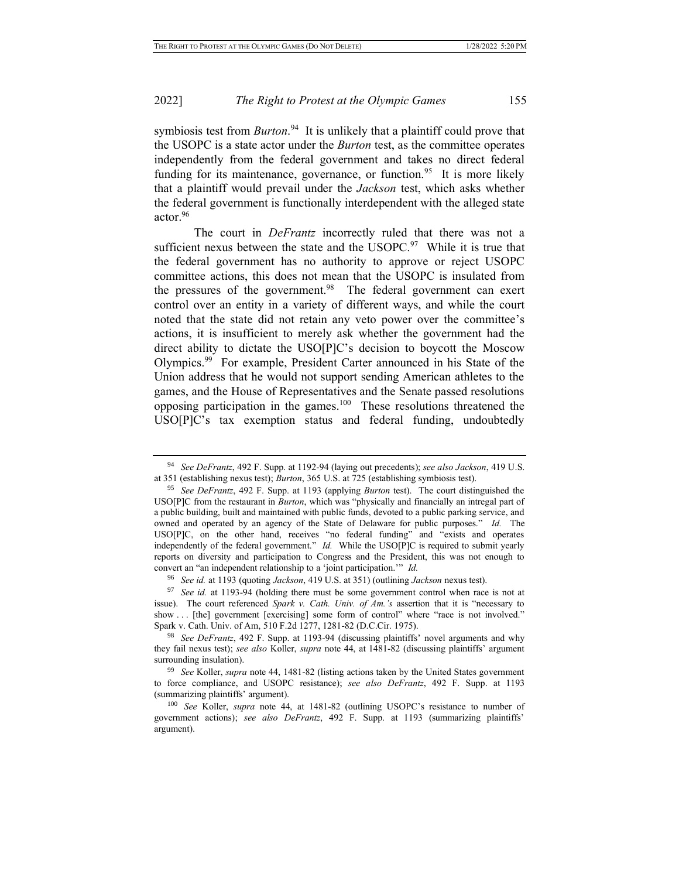symbiosis test from *Burton*.<sup>94</sup> It is unlikely that a plaintiff could prove that the USOPC is a state actor under the *Burton* test, as the committee operates independently from the federal government and takes no direct federal funding for its maintenance, governance, or function.<sup>95</sup> It is more likely that a plaintiff would prevail under the *Jackson* test, which asks whether the federal government is functionally interdependent with the alleged state actor.<sup>96</sup>

The court in *DeFrantz* incorrectly ruled that there was not a sufficient nexus between the state and the  $USOPC<sup>97</sup>$  While it is true that the federal government has no authority to approve or reject USOPC committee actions, this does not mean that the USOPC is insulated from the pressures of the government.<sup>98</sup> The federal government can exert control over an entity in a variety of different ways, and while the court noted that the state did not retain any veto power over the committee's actions, it is insufficient to merely ask whether the government had the direct ability to dictate the USO[P]C's decision to boycott the Moscow Olympics.<sup>99</sup> For example, President Carter announced in his State of the Union address that he would not support sending American athletes to the games, and the House of Representatives and the Senate passed resolutions opposing participation in the games.<sup>100</sup> These resolutions threatened the USO[P]C's tax exemption status and federal funding, undoubtedly

<sup>94</sup> *See DeFrantz*, 492 F. Supp. at 1192-94 (laying out precedents); *see also Jackson*, 419 U.S. at 351 (establishing nexus test); *Burton*, 365 U.S. at 725 (establishing symbiosis test).

<sup>95</sup> *See DeFrantz*, 492 F. Supp. at 1193 (applying *Burton* test). The court distinguished the USO[P]C from the restaurant in *Burton*, which was "physically and financially an intregal part of a public building, built and maintained with public funds, devoted to a public parking service, and owned and operated by an agency of the State of Delaware for public purposes." *Id.* The USO[P]C, on the other hand, receives "no federal funding" and "exists and operates independently of the federal government." *Id.* While the USO[P]C is required to submit yearly reports on diversity and participation to Congress and the President, this was not enough to convert an "an independent relationship to a 'joint participation.'" *Id.*

<sup>96</sup> *See id.* at 1193 (quoting *Jackson*, 419 U.S. at 351) (outlining *Jackson* nexus test).

<sup>97</sup> *See id.* at 1193-94 (holding there must be some government control when race is not at issue). The court referenced *Spark v. Cath. Univ. of Am.'s* assertion that it is "necessary to show ... [the] government [exercising] some form of control" where "race is not involved." Spark v. Cath. Univ. of Am, 510 F.2d 1277, 1281-82 (D.C.Cir. 1975).

<sup>98</sup> *See DeFrantz*, 492 F. Supp. at 1193-94 (discussing plaintiffs' novel arguments and why they fail nexus test); *see also* Koller, *supra* note 44, at 1481-82 (discussing plaintiffs' argument surrounding insulation).

<sup>99</sup> *See* Koller, *supra* note 44, 1481-82 (listing actions taken by the United States government to force compliance, and USOPC resistance); *see also DeFrantz*, 492 F. Supp. at 1193 (summarizing plaintiffs' argument).

<sup>100</sup> *See* Koller, *supra* note 44, at 1481-82 (outlining USOPC's resistance to number of government actions); *see also DeFrantz*, 492 F. Supp. at 1193 (summarizing plaintiffs' argument).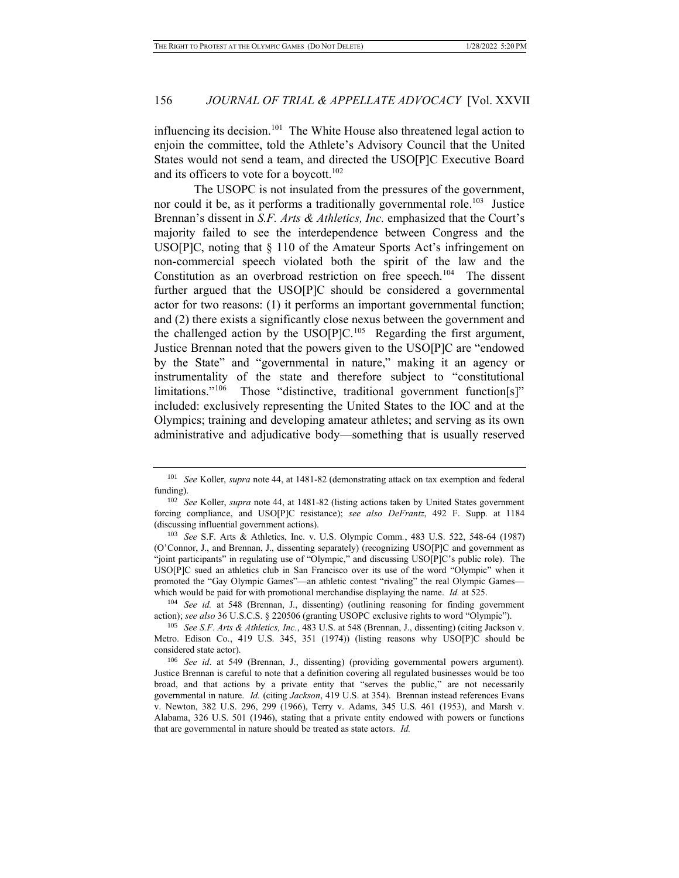influencing its decision.<sup>101</sup> The White House also threatened legal action to enjoin the committee, told the Athlete's Advisory Council that the United States would not send a team, and directed the USO[P]C Executive Board and its officers to vote for a boycott.<sup>102</sup>

The USOPC is not insulated from the pressures of the government, nor could it be, as it performs a traditionally governmental role.<sup>103</sup> Justice Brennan's dissent in *S.F. Arts & Athletics, Inc.* emphasized that the Court's majority failed to see the interdependence between Congress and the USO[P]C, noting that § 110 of the Amateur Sports Act's infringement on non-commercial speech violated both the spirit of the law and the Constitution as an overbroad restriction on free speech.<sup>104</sup> The dissent further argued that the USO[P]C should be considered a governmental actor for two reasons: (1) it performs an important governmental function; and (2) there exists a significantly close nexus between the government and the challenged action by the  $USO[P]C<sup>105</sup>$  Regarding the first argument, Justice Brennan noted that the powers given to the USO[P]C are "endowed by the State" and "governmental in nature," making it an agency or instrumentality of the state and therefore subject to "constitutional limitations."<sup>106</sup> Those "distinctive, traditional government function[s]" included: exclusively representing the United States to the IOC and at the Olympics; training and developing amateur athletes; and serving as its own administrative and adjudicative body—something that is usually reserved

<sup>104</sup> *See id.* at 548 (Brennan, J., dissenting) (outlining reasoning for finding government action); *see also* 36 U.S.C.S. § 220506 (granting USOPC exclusive rights to word "Olympic").

<sup>101</sup> *See* Koller, *supra* note 44, at 1481-82 (demonstrating attack on tax exemption and federal funding).

<sup>102</sup> *See* Koller, *supra* note 44, at 1481-82 (listing actions taken by United States government forcing compliance, and USO[P]C resistance); *see also DeFrantz*, 492 F. Supp. at 1184 (discussing influential government actions).

<sup>103</sup> *See* S.F. Arts & Athletics, Inc. v. U.S. Olympic Comm*.*, 483 U.S. 522, 548-64 (1987) (O'Connor, J., and Brennan, J., dissenting separately) (recognizing USO[P]C and government as "joint participants" in regulating use of "Olympic," and discussing USO[P]C's public role). The USO[P]C sued an athletics club in San Francisco over its use of the word "Olympic" when it promoted the "Gay Olympic Games"—an athletic contest "rivaling" the real Olympic Games which would be paid for with promotional merchandise displaying the name. *Id.* at 525.

<sup>105</sup> *See S.F. Arts & Athletics, Inc.*, 483 U.S. at 548 (Brennan, J., dissenting) (citing Jackson v. Metro. Edison Co., 419 U.S. 345, 351 (1974)) (listing reasons why USO[P]C should be considered state actor).

<sup>106</sup> *See id*. at 549 (Brennan, J., dissenting) (providing governmental powers argument). Justice Brennan is careful to note that a definition covering all regulated businesses would be too broad, and that actions by a private entity that "serves the public," are not necessarily governmental in nature. *Id.* (citing *Jackson*, 419 U.S. at 354). Brennan instead references Evans v. Newton, 382 U.S. 296, 299 (1966), Terry v. Adams, 345 U.S. 461 (1953), and Marsh v. Alabama, 326 U.S. 501 (1946), stating that a private entity endowed with powers or functions that are governmental in nature should be treated as state actors. *Id.*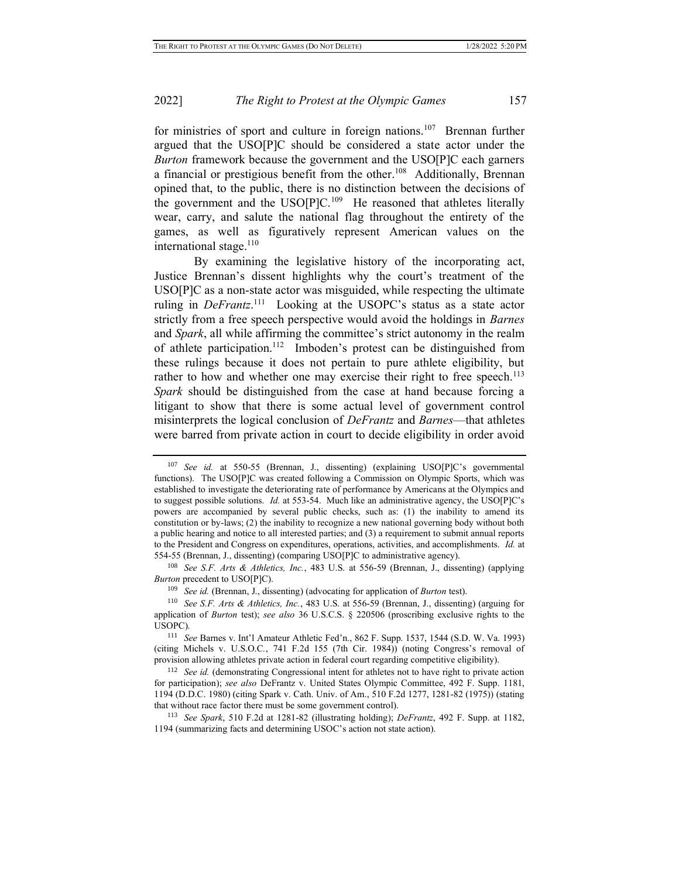for ministries of sport and culture in foreign nations.<sup>107</sup> Brennan further argued that the USO[P]C should be considered a state actor under the *Burton* framework because the government and the USO[P]C each garners a financial or prestigious benefit from the other.<sup>108</sup> Additionally, Brennan opined that, to the public, there is no distinction between the decisions of the government and the  $USO[P]C<sup>109</sup>$  He reasoned that athletes literally wear, carry, and salute the national flag throughout the entirety of the games, as well as figuratively represent American values on the international stage. $110$ 

By examining the legislative history of the incorporating act, Justice Brennan's dissent highlights why the court's treatment of the USO[P]C as a non-state actor was misguided, while respecting the ultimate ruling in *DeFrantz*. 111 Looking at the USOPC's status as a state actor strictly from a free speech perspective would avoid the holdings in *Barnes* and *Spark*, all while affirming the committee's strict autonomy in the realm of athlete participation.<sup>112</sup> Imboden's protest can be distinguished from these rulings because it does not pertain to pure athlete eligibility, but rather to how and whether one may exercise their right to free speech.<sup>113</sup> *Spark* should be distinguished from the case at hand because forcing a litigant to show that there is some actual level of government control misinterprets the logical conclusion of *DeFrantz* and *Barnes*—that athletes were barred from private action in court to decide eligibility in order avoid

<sup>107</sup> *See id.* at 550-55 (Brennan, J., dissenting) (explaining USO[P]C's governmental functions). The USO[P]C was created following a Commission on Olympic Sports, which was established to investigate the deteriorating rate of performance by Americans at the Olympics and to suggest possible solutions. *Id.* at 553-54. Much like an administrative agency, the USO[P]C's powers are accompanied by several public checks, such as: (1) the inability to amend its constitution or by-laws; (2) the inability to recognize a new national governing body without both a public hearing and notice to all interested parties; and (3) a requirement to submit annual reports to the President and Congress on expenditures, operations, activities, and accomplishments. *Id.* at 554-55 (Brennan, J., dissenting) (comparing USO[P]C to administrative agency).

<sup>108</sup> *See S.F. Arts & Athletics, Inc.*, 483 U.S. at 556-59 (Brennan, J., dissenting) (applying *Burton* precedent to USO[P]C).

<sup>109</sup> *See id.* (Brennan, J., dissenting) (advocating for application of *Burton* test).

<sup>110</sup> *See S.F. Arts & Athletics, Inc.*, 483 U.S. at 556-59 (Brennan, J., dissenting) (arguing for application of *Burton* test); *see also* 36 U.S.C.S. § 220506 (proscribing exclusive rights to the USOPC).

<sup>111</sup> *See* Barnes v. Int'l Amateur Athletic Fed'n., 862 F. Supp. 1537, 1544 (S.D. W. Va. 1993) (citing Michels v. U.S.O.C*.*, 741 F.2d 155 (7th Cir. 1984)) (noting Congress's removal of provision allowing athletes private action in federal court regarding competitive eligibility).

<sup>&</sup>lt;sup>112</sup> *See id.* (demonstrating Congressional intent for athletes not to have right to private action for participation); *see also* DeFrantz v. United States Olympic Committee, 492 F. Supp. 1181, 1194 (D.D.C. 1980) (citing Spark v. Cath. Univ. of Am., 510 F.2d 1277, 1281-82 (1975)) (stating that without race factor there must be some government control).

<sup>113</sup> *See Spark*, 510 F.2d at 1281-82 (illustrating holding); *DeFrantz*, 492 F. Supp. at 1182, 1194 (summarizing facts and determining USOC's action not state action).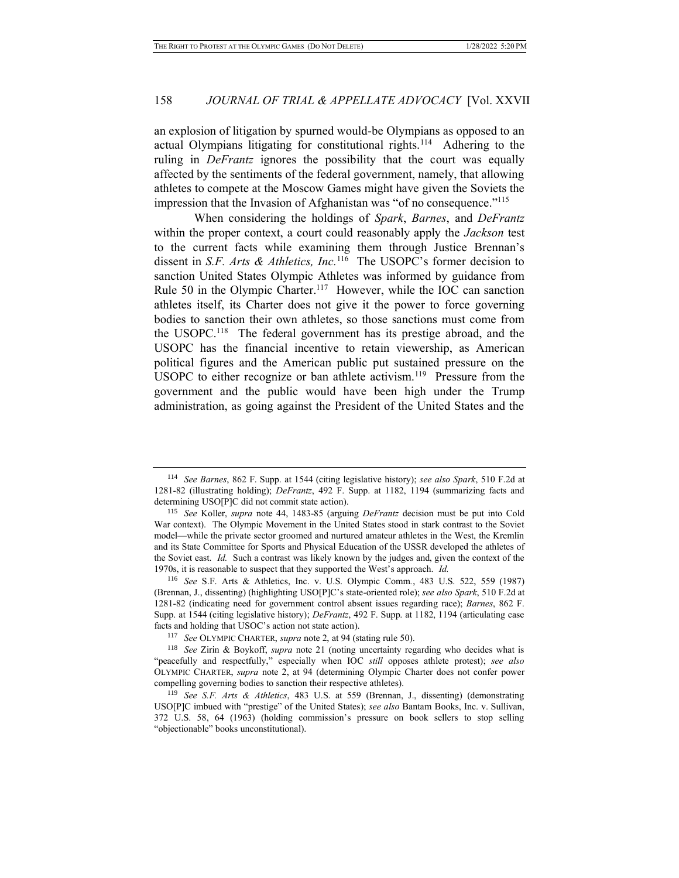an explosion of litigation by spurned would-be Olympians as opposed to an actual Olympians litigating for constitutional rights.<sup>114</sup> Adhering to the ruling in *DeFrantz* ignores the possibility that the court was equally affected by the sentiments of the federal government, namely, that allowing athletes to compete at the Moscow Games might have given the Soviets the impression that the Invasion of Afghanistan was "of no consequence."<sup>115</sup>

When considering the holdings of *Spark*, *Barnes*, and *DeFrantz* within the proper context, a court could reasonably apply the *Jackson* test to the current facts while examining them through Justice Brennan's dissent in *S.F. Arts & Athletics, Inc.*<sup>116</sup> The USOPC's former decision to sanction United States Olympic Athletes was informed by guidance from Rule 50 in the Olympic Charter.<sup>117</sup> However, while the IOC can sanction athletes itself, its Charter does not give it the power to force governing bodies to sanction their own athletes, so those sanctions must come from the USOPC.<sup>118</sup> The federal government has its prestige abroad, and the USOPC has the financial incentive to retain viewership, as American political figures and the American public put sustained pressure on the USOPC to either recognize or ban athlete activism.<sup>119</sup> Pressure from the government and the public would have been high under the Trump administration, as going against the President of the United States and the

<sup>114</sup> *See Barnes*, 862 F. Supp. at 1544 (citing legislative history); *see also Spark*, 510 F.2d at 1281-82 (illustrating holding); *DeFrantz*, 492 F. Supp. at 1182, 1194 (summarizing facts and determining USO[P]C did not commit state action).

<sup>115</sup> *See* Koller, *supra* note 44, 1483-85 (arguing *DeFrantz* decision must be put into Cold War context). The Olympic Movement in the United States stood in stark contrast to the Soviet model—while the private sector groomed and nurtured amateur athletes in the West, the Kremlin and its State Committee for Sports and Physical Education of the USSR developed the athletes of the Soviet east. *Id.* Such a contrast was likely known by the judges and, given the context of the 1970s, it is reasonable to suspect that they supported the West's approach. *Id.*

<sup>116</sup> *See* S.F. Arts & Athletics, Inc. v. U.S. Olympic Comm*.*, 483 U.S. 522, 559 (1987) (Brennan, J., dissenting) (highlighting USO[P]C's state-oriented role); *see also Spark*, 510 F.2d at 1281-82 (indicating need for government control absent issues regarding race); *Barnes*, 862 F. Supp. at 1544 (citing legislative history); *DeFrantz*, 492 F. Supp. at 1182, 1194 (articulating case facts and holding that USOC's action not state action).

<sup>117</sup> *See* OLYMPIC CHARTER, *supra* note 2, at 94 (stating rule 50).

<sup>118</sup> *See* Zirin & Boykoff, *supra* note 21 (noting uncertainty regarding who decides what is "peacefully and respectfully," especially when IOC *still* opposes athlete protest); *see also*  OLYMPIC CHARTER, *supra* note 2, at 94 (determining Olympic Charter does not confer power compelling governing bodies to sanction their respective athletes).

<sup>119</sup> *See S.F. Arts & Athletics*, 483 U.S. at 559 (Brennan, J., dissenting) (demonstrating USO[P]C imbued with "prestige" of the United States); *see also* Bantam Books, Inc. v. Sullivan, 372 U.S. 58, 64 (1963) (holding commission's pressure on book sellers to stop selling "objectionable" books unconstitutional).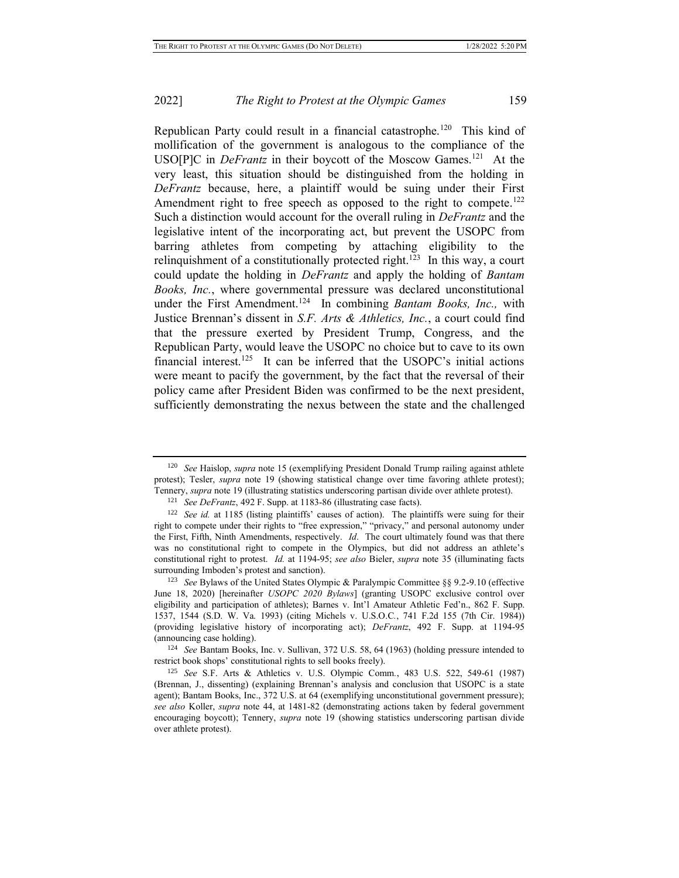Republican Party could result in a financial catastrophe.<sup>120</sup> This kind of mollification of the government is analogous to the compliance of the USO[P]C in *DeFrantz* in their boycott of the Moscow Games.<sup>121</sup> At the very least, this situation should be distinguished from the holding in *DeFrantz* because, here, a plaintiff would be suing under their First Amendment right to free speech as opposed to the right to compete.<sup>122</sup> Such a distinction would account for the overall ruling in *DeFrantz* and the legislative intent of the incorporating act, but prevent the USOPC from barring athletes from competing by attaching eligibility to the relinquishment of a constitutionally protected right.<sup>123</sup> In this way, a court could update the holding in *DeFrantz* and apply the holding of *Bantam Books, Inc.*, where governmental pressure was declared unconstitutional under the First Amendment.<sup>124</sup> In combining *Bantam Books, Inc.,* with Justice Brennan's dissent in *S.F. Arts & Athletics, Inc.*, a court could find that the pressure exerted by President Trump, Congress, and the Republican Party, would leave the USOPC no choice but to cave to its own financial interest.<sup>125</sup> It can be inferred that the USOPC's initial actions were meant to pacify the government, by the fact that the reversal of their policy came after President Biden was confirmed to be the next president, sufficiently demonstrating the nexus between the state and the challenged

<sup>120</sup> *See* Haislop, *supra* note 15 (exemplifying President Donald Trump railing against athlete protest); Tesler, *supra* note 19 (showing statistical change over time favoring athlete protest); Tennery, *supra* note 19 (illustrating statistics underscoring partisan divide over athlete protest).

<sup>121</sup> *See DeFrantz*, 492 F. Supp. at 1183-86 (illustrating case facts).

<sup>&</sup>lt;sup>122</sup> *See id.* at 1185 (listing plaintiffs' causes of action). The plaintiffs were suing for their right to compete under their rights to "free expression," "privacy," and personal autonomy under the First, Fifth, Ninth Amendments, respectively. *Id*. The court ultimately found was that there was no constitutional right to compete in the Olympics, but did not address an athlete's constitutional right to protest. *Id.* at 1194-95; *see also* Bieler, *supra* note 35 (illuminating facts surrounding Imboden's protest and sanction).

<sup>123</sup> *See* Bylaws of the United States Olympic & Paralympic Committee §§ 9.2-9.10 (effective June 18, 2020) [hereinafter *USOPC 2020 Bylaws*] (granting USOPC exclusive control over eligibility and participation of athletes); Barnes v. Int'l Amateur Athletic Fed'n., 862 F. Supp. 1537, 1544 (S.D. W. Va. 1993) (citing Michels v. U.S.O.C*.*, 741 F.2d 155 (7th Cir. 1984)) (providing legislative history of incorporating act); *DeFrantz*, 492 F. Supp. at 1194-95 (announcing case holding).

<sup>124</sup> *See* Bantam Books, Inc. v. Sullivan, 372 U.S. 58, 64 (1963) (holding pressure intended to restrict book shops' constitutional rights to sell books freely).

<sup>125</sup> *See* S.F. Arts & Athletics v. U.S. Olympic Comm*.*, 483 U.S. 522, 549-61 (1987) (Brennan, J., dissenting) (explaining Brennan's analysis and conclusion that USOPC is a state agent); Bantam Books, Inc., 372 U.S. at 64 (exemplifying unconstitutional government pressure); *see also* Koller, *supra* note 44, at 1481-82 (demonstrating actions taken by federal government encouraging boycott); Tennery, *supra* note 19 (showing statistics underscoring partisan divide over athlete protest).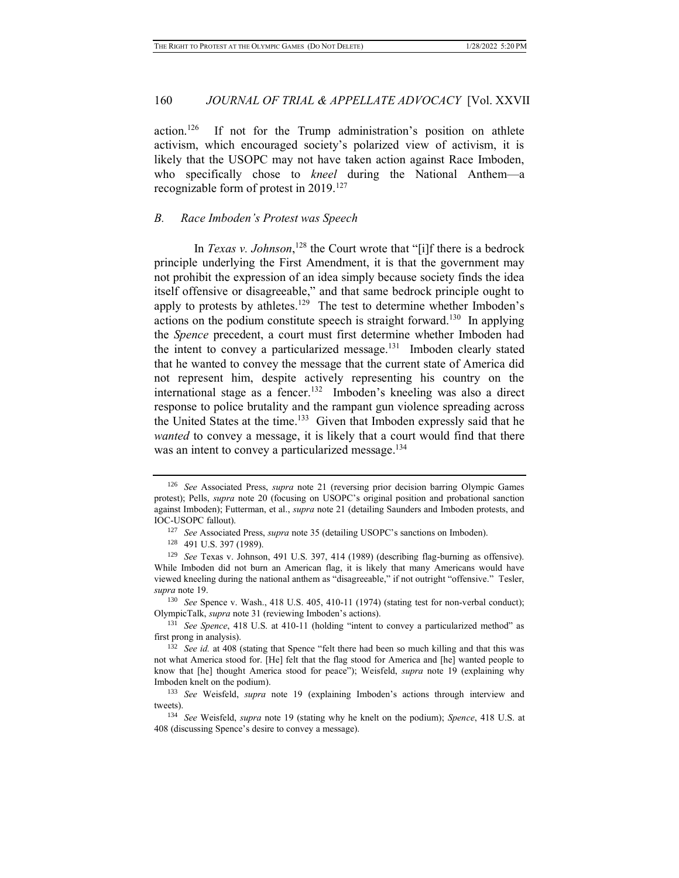action.<sup>126</sup> If not for the Trump administration's position on athlete activism, which encouraged society's polarized view of activism, it is likely that the USOPC may not have taken action against Race Imboden, who specifically chose to *kneel* during the National Anthem—a recognizable form of protest in  $2019$ .<sup>127</sup>

#### *B. Race Imboden's Protest was Speech*

In *Texas v. Johnson*,<sup>128</sup> the Court wrote that "[i]f there is a bedrock principle underlying the First Amendment, it is that the government may not prohibit the expression of an idea simply because society finds the idea itself offensive or disagreeable," and that same bedrock principle ought to apply to protests by athletes.<sup>129</sup> The test to determine whether Imboden's actions on the podium constitute speech is straight forward.<sup>130</sup> In applying the *Spence* precedent, a court must first determine whether Imboden had the intent to convey a particularized message.<sup>131</sup> Imboden clearly stated that he wanted to convey the message that the current state of America did not represent him, despite actively representing his country on the international stage as a fencer.<sup>132</sup> Imboden's kneeling was also a direct response to police brutality and the rampant gun violence spreading across the United States at the time.<sup>133</sup> Given that Imboden expressly said that he *wanted* to convey a message, it is likely that a court would find that there was an intent to convey a particularized message.<sup>134</sup>

<sup>126</sup> *See* Associated Press, *supra* note 21 (reversing prior decision barring Olympic Games protest); Pells, *supra* note 20 (focusing on USOPC's original position and probational sanction against Imboden); Futterman, et al., *supra* note 21 (detailing Saunders and Imboden protests, and IOC-USOPC fallout).

<sup>127</sup> *See* Associated Press, *supra* note 35 (detailing USOPC's sanctions on Imboden).

<sup>128</sup> 491 U.S. 397 (1989).

<sup>129</sup> *See* Texas v. Johnson, 491 U.S. 397, 414 (1989) (describing flag-burning as offensive). While Imboden did not burn an American flag, it is likely that many Americans would have viewed kneeling during the national anthem as "disagreeable," if not outright "offensive." Tesler, *supra* note 19.

<sup>&</sup>lt;sup>130</sup> *See* Spence v. Wash., 418 U.S. 405, 410-11 (1974) (stating test for non-verbal conduct); OlympicTalk, *supra* note 31 (reviewing Imboden's actions).

<sup>131</sup> *See Spence*, 418 U.S. at 410-11 (holding "intent to convey a particularized method" as first prong in analysis).

<sup>&</sup>lt;sup>132</sup> See id. at 408 (stating that Spence "felt there had been so much killing and that this was not what America stood for. [He] felt that the flag stood for America and [he] wanted people to know that [he] thought America stood for peace"); Weisfeld, *supra* note 19 (explaining why Imboden knelt on the podium).

<sup>133</sup> *See* Weisfeld, *supra* note 19 (explaining Imboden's actions through interview and tweets).

<sup>134</sup> *See* Weisfeld, *supra* note 19 (stating why he knelt on the podium); *Spence*, 418 U.S. at 408 (discussing Spence's desire to convey a message).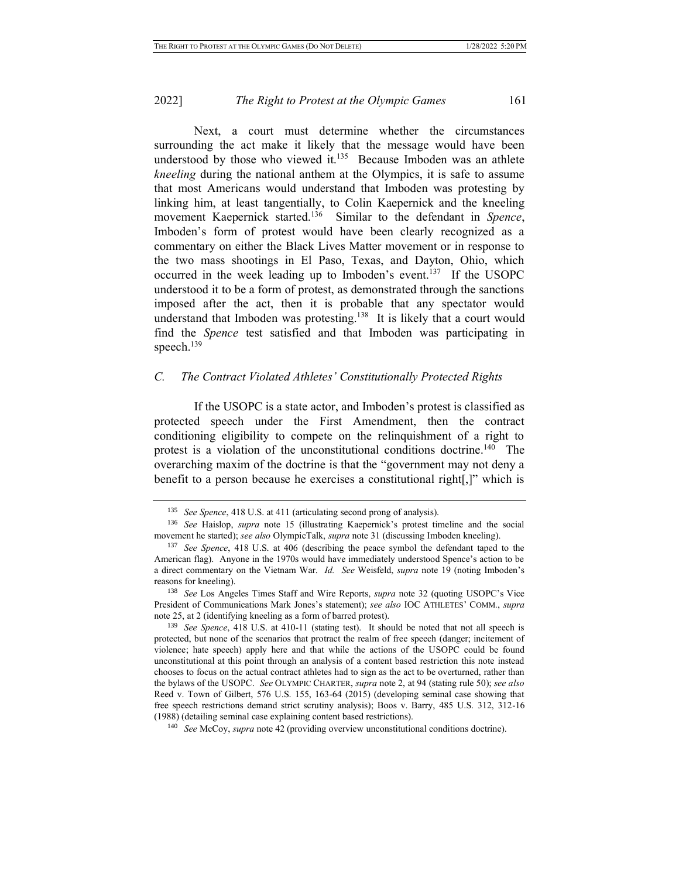Next, a court must determine whether the circumstances surrounding the act make it likely that the message would have been understood by those who viewed it.<sup>135</sup> Because Imboden was an athlete *kneeling* during the national anthem at the Olympics, it is safe to assume that most Americans would understand that Imboden was protesting by linking him, at least tangentially, to Colin Kaepernick and the kneeling movement Kaepernick started.<sup>136</sup> Similar to the defendant in *Spence*, Imboden's form of protest would have been clearly recognized as a commentary on either the Black Lives Matter movement or in response to the two mass shootings in El Paso, Texas, and Dayton, Ohio, which occurred in the week leading up to Imboden's event.<sup>137</sup> If the USOPC understood it to be a form of protest, as demonstrated through the sanctions imposed after the act, then it is probable that any spectator would understand that Imboden was protesting.<sup>138</sup> It is likely that a court would find the *Spence* test satisfied and that Imboden was participating in speech.<sup>139</sup>

### *C. The Contract Violated Athletes' Constitutionally Protected Rights*

If the USOPC is a state actor, and Imboden's protest is classified as protected speech under the First Amendment, then the contract conditioning eligibility to compete on the relinquishment of a right to protest is a violation of the unconstitutional conditions doctrine.<sup>140</sup> The overarching maxim of the doctrine is that the "government may not deny a benefit to a person because he exercises a constitutional right[,]" which is

<sup>135</sup> *See Spence*, 418 U.S. at 411 (articulating second prong of analysis).

<sup>136</sup> *See* Haislop, *supra* note 15 (illustrating Kaepernick's protest timeline and the social movement he started); *see also* OlympicTalk, *supra* note 31 (discussing Imboden kneeling).

<sup>137</sup> *See Spence*, 418 U.S. at 406 (describing the peace symbol the defendant taped to the American flag). Anyone in the 1970s would have immediately understood Spence's action to be a direct commentary on the Vietnam War. *Id. See* Weisfeld, *supra* note 19 (noting Imboden's reasons for kneeling).

<sup>138</sup> *See* Los Angeles Times Staff and Wire Reports, *supra* note 32 (quoting USOPC's Vice President of Communications Mark Jones's statement); *see also* IOC ATHLETES' COMM., *supra* note 25, at 2 (identifying kneeling as a form of barred protest).

<sup>139</sup> *See Spence*, 418 U.S. at 410-11 (stating test). It should be noted that not all speech is protected, but none of the scenarios that protract the realm of free speech (danger; incitement of violence; hate speech) apply here and that while the actions of the USOPC could be found unconstitutional at this point through an analysis of a content based restriction this note instead chooses to focus on the actual contract athletes had to sign as the act to be overturned, rather than the bylaws of the USOPC. *See* OLYMPIC CHARTER, *supra* note 2, at 94 (stating rule 50); *see also*  Reed v. Town of Gilbert, 576 U.S. 155, 163-64 (2015) (developing seminal case showing that free speech restrictions demand strict scrutiny analysis); Boos v. Barry, 485 U.S. 312, 312-16 (1988) (detailing seminal case explaining content based restrictions).

<sup>140</sup> *See* McCoy, *supra* note 42 (providing overview unconstitutional conditions doctrine).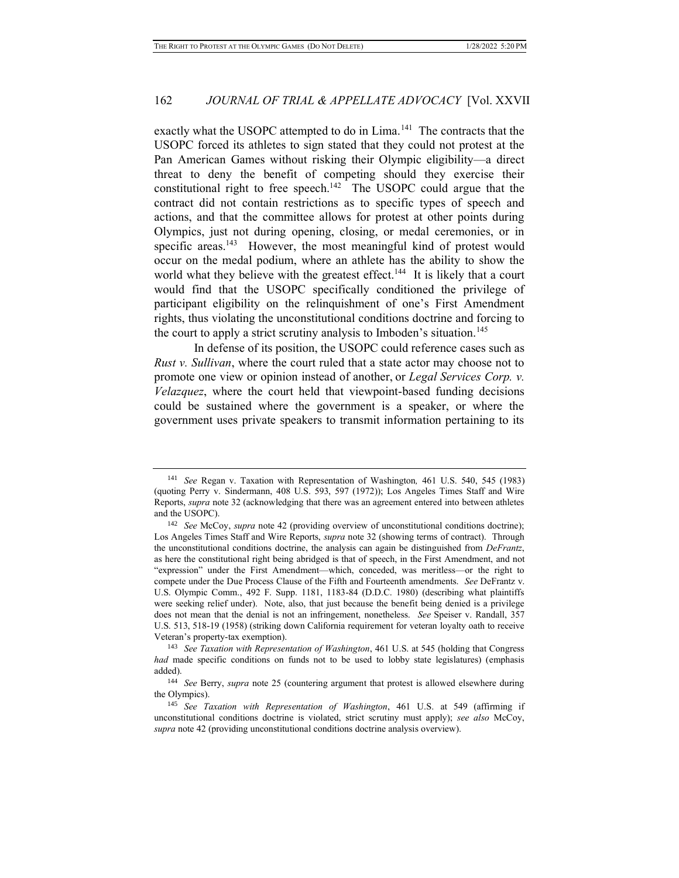exactly what the USOPC attempted to do in Lima.<sup>141</sup> The contracts that the USOPC forced its athletes to sign stated that they could not protest at the Pan American Games without risking their Olympic eligibility—a direct threat to deny the benefit of competing should they exercise their constitutional right to free speech.<sup>142</sup> The USOPC could argue that the contract did not contain restrictions as to specific types of speech and actions, and that the committee allows for protest at other points during Olympics, just not during opening, closing, or medal ceremonies, or in specific areas.<sup>143</sup> However, the most meaningful kind of protest would occur on the medal podium, where an athlete has the ability to show the world what they believe with the greatest effect.<sup>144</sup> It is likely that a court would find that the USOPC specifically conditioned the privilege of participant eligibility on the relinquishment of one's First Amendment rights, thus violating the unconstitutional conditions doctrine and forcing to the court to apply a strict scrutiny analysis to Imboden's situation.<sup>145</sup>

In defense of its position, the USOPC could reference cases such as *Rust v. Sullivan*, where the court ruled that a state actor may choose not to promote one view or opinion instead of another, or *Legal Services Corp. v. Velazquez*, where the court held that viewpoint-based funding decisions could be sustained where the government is a speaker, or where the government uses private speakers to transmit information pertaining to its

<sup>141</sup> *See* Regan v. Taxation with Representation of Washington*,* 461 U.S. 540, 545 (1983) (quoting Perry v. Sindermann, 408 U.S. 593, 597 (1972)); Los Angeles Times Staff and Wire Reports, *supra* note 32 (acknowledging that there was an agreement entered into between athletes and the USOPC).

<sup>142</sup> *See* McCoy, *supra* note 42 (providing overview of unconstitutional conditions doctrine); Los Angeles Times Staff and Wire Reports, *supra* note 32 (showing terms of contract). Through the unconstitutional conditions doctrine, the analysis can again be distinguished from *DeFrantz*, as here the constitutional right being abridged is that of speech, in the First Amendment, and not "expression" under the First Amendment—which, conceded, was meritless—or the right to compete under the Due Process Clause of the Fifth and Fourteenth amendments. *See* DeFrantz v. U.S. Olympic Comm., 492 F. Supp. 1181, 1183-84 (D.D.C. 1980) (describing what plaintiffs were seeking relief under). Note, also, that just because the benefit being denied is a privilege does not mean that the denial is not an infringement, nonetheless. *See* Speiser v. Randall, 357 U.S. 513, 518-19 (1958) (striking down California requirement for veteran loyalty oath to receive Veteran's property-tax exemption).

<sup>143</sup> *See Taxation with Representation of Washington*, 461 U.S. at 545 (holding that Congress *had* made specific conditions on funds not to be used to lobby state legislatures) (emphasis added).

<sup>144</sup> *See* Berry, *supra* note 25 (countering argument that protest is allowed elsewhere during the Olympics).

<sup>145</sup> *See Taxation with Representation of Washington*, 461 U.S. at 549 (affirming if unconstitutional conditions doctrine is violated, strict scrutiny must apply); *see also* McCoy, *supra* note 42 (providing unconstitutional conditions doctrine analysis overview).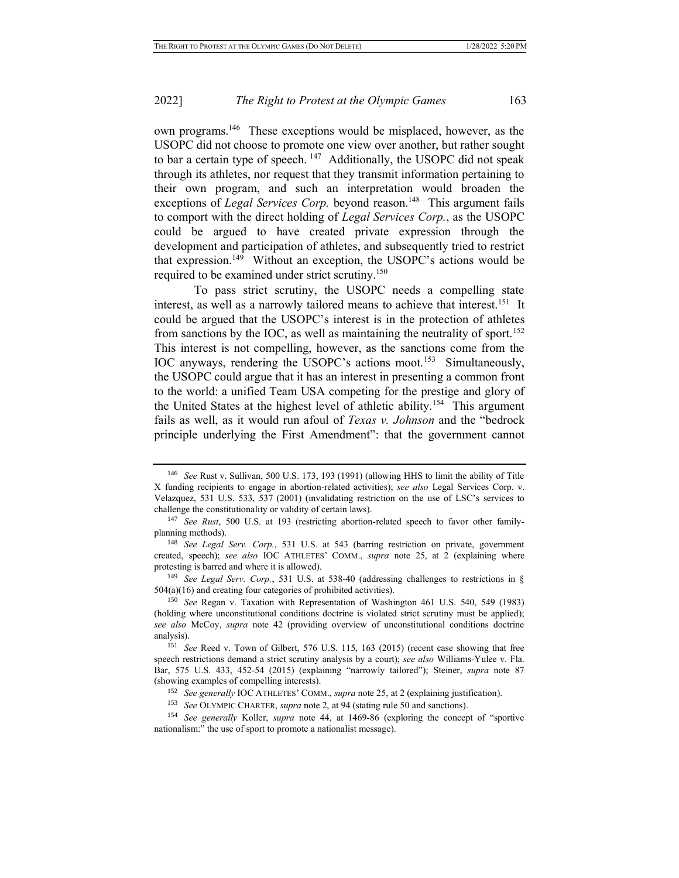own programs.<sup>146</sup> These exceptions would be misplaced, however, as the USOPC did not choose to promote one view over another, but rather sought to bar a certain type of speech. <sup>147</sup> Additionally, the USOPC did not speak through its athletes, nor request that they transmit information pertaining to their own program, and such an interpretation would broaden the exceptions of *Legal Services Corp*. beyond reason.<sup>148</sup> This argument fails to comport with the direct holding of *Legal Services Corp.*, as the USOPC could be argued to have created private expression through the development and participation of athletes, and subsequently tried to restrict that expression.<sup>149</sup> Without an exception, the USOPC's actions would be required to be examined under strict scrutiny.<sup>150</sup>

To pass strict scrutiny, the USOPC needs a compelling state interest, as well as a narrowly tailored means to achieve that interest.<sup>151</sup> It could be argued that the USOPC's interest is in the protection of athletes from sanctions by the IOC, as well as maintaining the neutrality of sport.<sup>152</sup> This interest is not compelling, however, as the sanctions come from the IOC anyways, rendering the USOPC's actions moot.<sup>153</sup> Simultaneously, the USOPC could argue that it has an interest in presenting a common front to the world: a unified Team USA competing for the prestige and glory of the United States at the highest level of athletic ability.<sup>154</sup> This argument fails as well, as it would run afoul of *Texas v. Johnson* and the "bedrock principle underlying the First Amendment": that the government cannot

<sup>146</sup> *See* Rust v. Sullivan, 500 U.S. 173, 193 (1991) (allowing HHS to limit the ability of Title X funding recipients to engage in abortion-related activities); *see also* Legal Services Corp. v. Velazquez, 531 U.S. 533, 537 (2001) (invalidating restriction on the use of LSC's services to challenge the constitutionality or validity of certain laws).

<sup>147</sup> *See Rust*, 500 U.S. at 193 (restricting abortion-related speech to favor other familyplanning methods).

<sup>148</sup> *See Legal Serv. Corp.*, 531 U.S. at 543 (barring restriction on private, government created, speech); *see also* IOC ATHLETES' COMM., *supra* note 25, at 2 (explaining where protesting is barred and where it is allowed).

<sup>&</sup>lt;sup>149</sup> *See Legal Serv. Corp.*, 531 U.S. at 538-40 (addressing challenges to restrictions in § 504(a)(16) and creating four categories of prohibited activities).

<sup>150</sup> *See* Regan v. Taxation with Representation of Washington 461 U.S. 540, 549 (1983) (holding where unconstitutional conditions doctrine is violated strict scrutiny must be applied); *see also* McCoy, *supra* note 42 (providing overview of unconstitutional conditions doctrine analysis).

<sup>151</sup> *See* Reed v. Town of Gilbert, 576 U.S. 115, 163 (2015) (recent case showing that free speech restrictions demand a strict scrutiny analysis by a court); *see also* Williams-Yulee v. Fla. Bar, 575 U.S. 433, 452-54 (2015) (explaining "narrowly tailored"); Steiner, *supra* note 87 (showing examples of compelling interests).

<sup>152</sup> *See generally* IOC ATHLETES' COMM., *supra* note 25, at 2 (explaining justification).

<sup>153</sup> *See* OLYMPIC CHARTER, *supra* note 2, at 94 (stating rule 50 and sanctions).

<sup>154</sup> *See generally* Koller, *supra* note 44, at 1469-86 (exploring the concept of "sportive nationalism:" the use of sport to promote a nationalist message).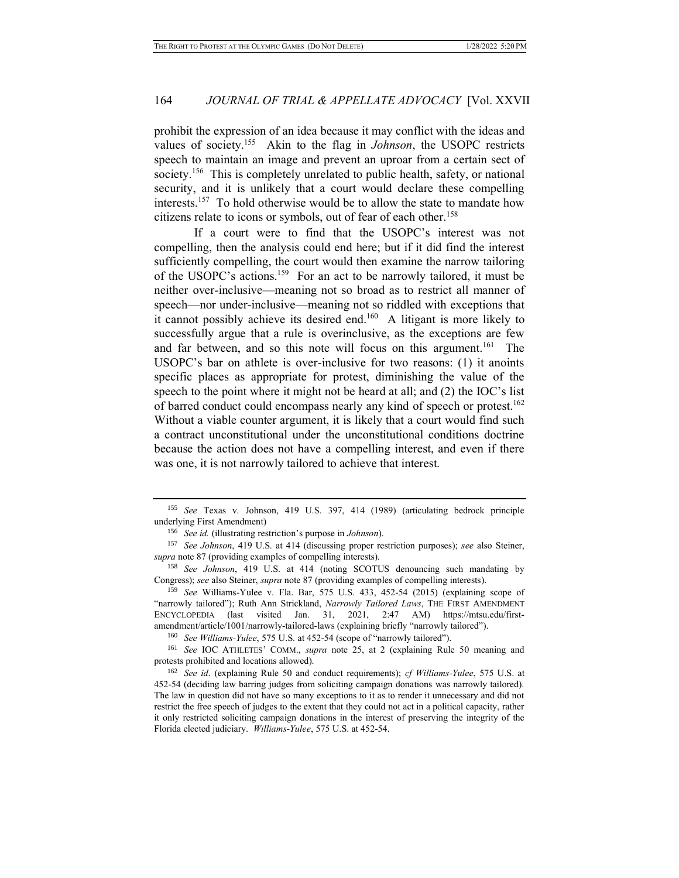prohibit the expression of an idea because it may conflict with the ideas and values of society.<sup>155</sup> Akin to the flag in *Johnson*, the USOPC restricts speech to maintain an image and prevent an uproar from a certain sect of society.<sup>156</sup> This is completely unrelated to public health, safety, or national security, and it is unlikely that a court would declare these compelling interests.<sup>157</sup> To hold otherwise would be to allow the state to mandate how citizens relate to icons or symbols, out of fear of each other.<sup>158</sup>

If a court were to find that the USOPC's interest was not compelling, then the analysis could end here; but if it did find the interest sufficiently compelling, the court would then examine the narrow tailoring of the USOPC's actions.<sup>159</sup> For an act to be narrowly tailored, it must be neither over-inclusive—meaning not so broad as to restrict all manner of speech—nor under-inclusive—meaning not so riddled with exceptions that it cannot possibly achieve its desired end.<sup>160</sup> A litigant is more likely to successfully argue that a rule is overinclusive, as the exceptions are few and far between, and so this note will focus on this argument.<sup>161</sup> The USOPC's bar on athlete is over-inclusive for two reasons: (1) it anoints specific places as appropriate for protest, diminishing the value of the speech to the point where it might not be heard at all; and (2) the IOC's list of barred conduct could encompass nearly any kind of speech or protest.<sup>162</sup> Without a viable counter argument, it is likely that a court would find such a contract unconstitutional under the unconstitutional conditions doctrine because the action does not have a compelling interest, and even if there was one, it is not narrowly tailored to achieve that interest.

<sup>160</sup> *See Williams-Yulee*, 575 U.S. at 452-54 (scope of "narrowly tailored").

<sup>161</sup> *See* IOC ATHLETES' COMM., *supra* note 25, at 2 (explaining Rule 50 meaning and protests prohibited and locations allowed).

<sup>155</sup> *See* Texas v. Johnson, 419 U.S. 397, 414 (1989) (articulating bedrock principle underlying First Amendment)

<sup>156</sup> *See id.* (illustrating restriction's purpose in *Johnson*).

<sup>157</sup> *See Johnson*, 419 U.S. at 414 (discussing proper restriction purposes); *see* also Steiner, *supra* note 87 (providing examples of compelling interests).

<sup>158</sup> *See Johnson*, 419 U.S. at 414 (noting SCOTUS denouncing such mandating by Congress); *see* also Steiner, *supra* note 87 (providing examples of compelling interests).

<sup>159</sup> *See* Williams-Yulee v. Fla. Bar, 575 U.S. 433, 452-54 (2015) (explaining scope of "narrowly tailored"); Ruth Ann Strickland, *Narrowly Tailored Laws*, THE FIRST AMENDMENT ENCYCLOPEDIA (last visited Jan. 31, 2021, 2:47 AM) https://mtsu.edu/firstamendment/article/1001/narrowly-tailored-laws (explaining briefly "narrowly tailored").

<sup>162</sup> *See id*. (explaining Rule 50 and conduct requirements); *cf Williams-Yulee*, 575 U.S. at 452-54 (deciding law barring judges from soliciting campaign donations was narrowly tailored). The law in question did not have so many exceptions to it as to render it unnecessary and did not restrict the free speech of judges to the extent that they could not act in a political capacity, rather it only restricted soliciting campaign donations in the interest of preserving the integrity of the Florida elected judiciary. *Williams-Yulee*, 575 U.S. at 452-54.